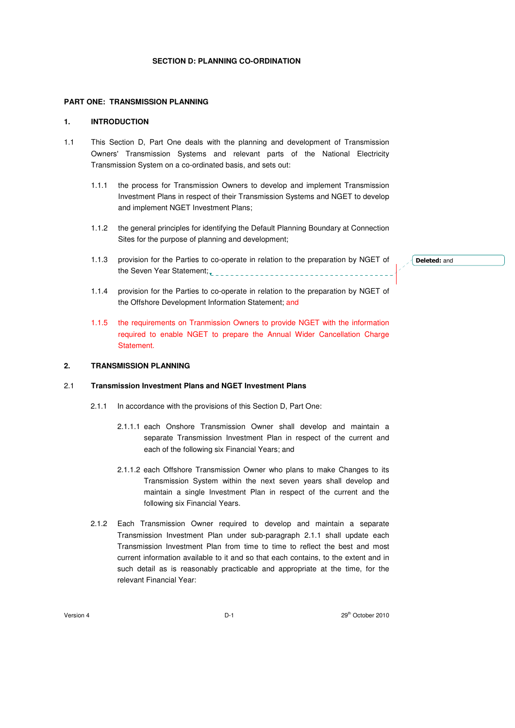### **PART ONE: TRANSMISSION PLANNING**

### **1. INTRODUCTION**

- 1.1 This Section D, Part One deals with the planning and development of Transmission Owners' Transmission Systems and relevant parts of the National Electricity Transmission System on a co-ordinated basis, and sets out:
	- 1.1.1 the process for Transmission Owners to develop and implement Transmission Investment Plans in respect of their Transmission Systems and NGET to develop and implement NGET Investment Plans;
	- 1.1.2 the general principles for identifying the Default Planning Boundary at Connection Sites for the purpose of planning and development;
	- 1.1.3 provision for the Parties to co-operate in relation to the preparation by NGET of the Seven Year Statement;

Deleted: and

- 1.1.4 provision for the Parties to co-operate in relation to the preparation by NGET of the Offshore Development Information Statement; and
- 1.1.5 the requirements on Tranmission Owners to provide NGET with the information required to enable NGET to prepare the Annual Wider Cancellation Charge Statement.

# **2. TRANSMISSION PLANNING**

#### 2.1 **Transmission Investment Plans and NGET Investment Plans**

- 2.1.1 In accordance with the provisions of this Section D, Part One:
	- 2.1.1.1 each Onshore Transmission Owner shall develop and maintain a separate Transmission Investment Plan in respect of the current and each of the following six Financial Years; and
	- 2.1.1.2 each Offshore Transmission Owner who plans to make Changes to its Transmission System within the next seven years shall develop and maintain a single Investment Plan in respect of the current and the following six Financial Years.
- 2.1.2 Each Transmission Owner required to develop and maintain a separate Transmission Investment Plan under sub-paragraph 2.1.1 shall update each Transmission Investment Plan from time to time to reflect the best and most current information available to it and so that each contains, to the extent and in such detail as is reasonably practicable and appropriate at the time, for the relevant Financial Year: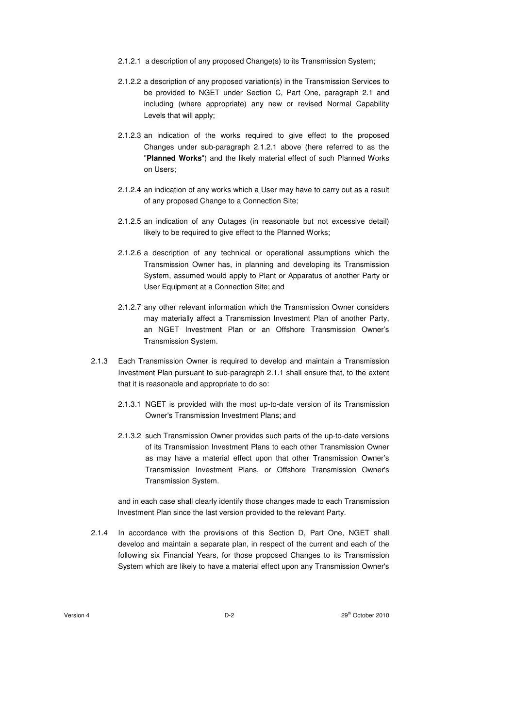- 2.1.2.1 a description of any proposed Change(s) to its Transmission System;
- 2.1.2.2 a description of any proposed variation(s) in the Transmission Services to be provided to NGET under Section C, Part One, paragraph 2.1 and including (where appropriate) any new or revised Normal Capability Levels that will apply;
- 2.1.2.3 an indication of the works required to give effect to the proposed Changes under sub-paragraph 2.1.2.1 above (here referred to as the "**Planned Works**") and the likely material effect of such Planned Works on Users;
- 2.1.2.4 an indication of any works which a User may have to carry out as a result of any proposed Change to a Connection Site;
- 2.1.2.5 an indication of any Outages (in reasonable but not excessive detail) likely to be required to give effect to the Planned Works;
- 2.1.2.6 a description of any technical or operational assumptions which the Transmission Owner has, in planning and developing its Transmission System, assumed would apply to Plant or Apparatus of another Party or User Equipment at a Connection Site; and
- 2.1.2.7 any other relevant information which the Transmission Owner considers may materially affect a Transmission Investment Plan of another Party, an NGET Investment Plan or an Offshore Transmission Owner's Transmission System.
- 2.1.3 Each Transmission Owner is required to develop and maintain a Transmission Investment Plan pursuant to sub-paragraph 2.1.1 shall ensure that, to the extent that it is reasonable and appropriate to do so:
	- 2.1.3.1 NGET is provided with the most up-to-date version of its Transmission Owner's Transmission Investment Plans; and
	- 2.1.3.2 such Transmission Owner provides such parts of the up-to-date versions of its Transmission Investment Plans to each other Transmission Owner as may have a material effect upon that other Transmission Owner's Transmission Investment Plans, or Offshore Transmission Owner's Transmission System.

and in each case shall clearly identify those changes made to each Transmission Investment Plan since the last version provided to the relevant Party.

2.1.4 In accordance with the provisions of this Section D, Part One, NGET shall develop and maintain a separate plan, in respect of the current and each of the following six Financial Years, for those proposed Changes to its Transmission System which are likely to have a material effect upon any Transmission Owner's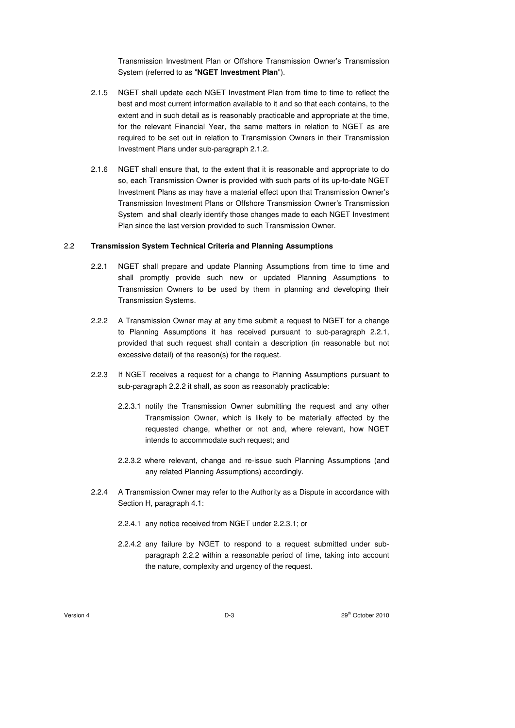Transmission Investment Plan or Offshore Transmission Owner's Transmission System (referred to as "**NGET Investment Plan**").

- 2.1.5 NGET shall update each NGET Investment Plan from time to time to reflect the best and most current information available to it and so that each contains, to the extent and in such detail as is reasonably practicable and appropriate at the time, for the relevant Financial Year, the same matters in relation to NGET as are required to be set out in relation to Transmission Owners in their Transmission Investment Plans under sub-paragraph 2.1.2.
- 2.1.6 NGET shall ensure that, to the extent that it is reasonable and appropriate to do so, each Transmission Owner is provided with such parts of its up-to-date NGET Investment Plans as may have a material effect upon that Transmission Owner's Transmission Investment Plans or Offshore Transmission Owner's Transmission System and shall clearly identify those changes made to each NGET Investment Plan since the last version provided to such Transmission Owner.

### 2.2 **Transmission System Technical Criteria and Planning Assumptions**

- 2.2.1 NGET shall prepare and update Planning Assumptions from time to time and shall promptly provide such new or updated Planning Assumptions to Transmission Owners to be used by them in planning and developing their Transmission Systems.
- 2.2.2 A Transmission Owner may at any time submit a request to NGET for a change to Planning Assumptions it has received pursuant to sub-paragraph 2.2.1, provided that such request shall contain a description (in reasonable but not excessive detail) of the reason(s) for the request.
- 2.2.3 If NGET receives a request for a change to Planning Assumptions pursuant to sub-paragraph 2.2.2 it shall, as soon as reasonably practicable:
	- 2.2.3.1 notify the Transmission Owner submitting the request and any other Transmission Owner, which is likely to be materially affected by the requested change, whether or not and, where relevant, how NGET intends to accommodate such request; and
	- 2.2.3.2 where relevant, change and re-issue such Planning Assumptions (and any related Planning Assumptions) accordingly.
- 2.2.4 A Transmission Owner may refer to the Authority as a Dispute in accordance with Section H, paragraph 4.1:
	- 2.2.4.1 any notice received from NGET under 2.2.3.1; or
	- 2.2.4.2 any failure by NGET to respond to a request submitted under subparagraph 2.2.2 within a reasonable period of time, taking into account the nature, complexity and urgency of the request.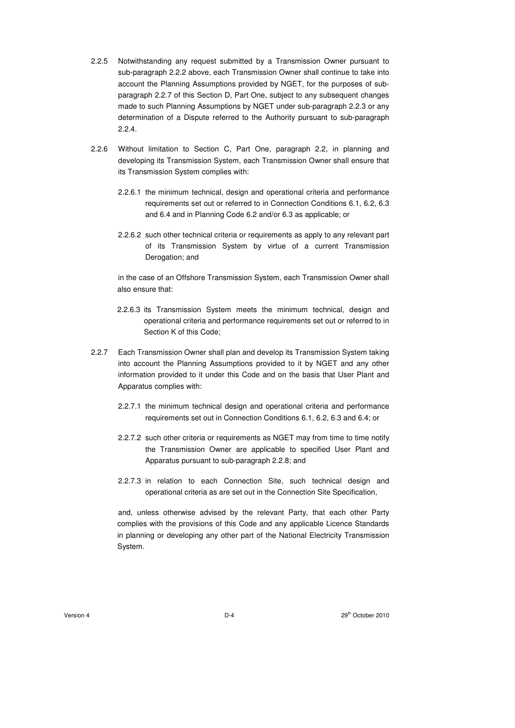- 2.2.5 Notwithstanding any request submitted by a Transmission Owner pursuant to sub-paragraph 2.2.2 above, each Transmission Owner shall continue to take into account the Planning Assumptions provided by NGET, for the purposes of subparagraph 2.2.7 of this Section D, Part One, subject to any subsequent changes made to such Planning Assumptions by NGET under sub-paragraph 2.2.3 or any determination of a Dispute referred to the Authority pursuant to sub-paragraph 2.2.4.
- 2.2.6 Without limitation to Section C, Part One, paragraph 2.2, in planning and developing its Transmission System, each Transmission Owner shall ensure that its Transmission System complies with:
	- 2.2.6.1 the minimum technical, design and operational criteria and performance requirements set out or referred to in Connection Conditions 6.1, 6.2, 6.3 and 6.4 and in Planning Code 6.2 and/or 6.3 as applicable; or
	- 2.2.6.2 such other technical criteria or requirements as apply to any relevant part of its Transmission System by virtue of a current Transmission Derogation; and

in the case of an Offshore Transmission System, each Transmission Owner shall also ensure that:

- 2.2.6.3 its Transmission System meets the minimum technical, design and operational criteria and performance requirements set out or referred to in Section K of this Code;
- 2.2.7 Each Transmission Owner shall plan and develop its Transmission System taking into account the Planning Assumptions provided to it by NGET and any other information provided to it under this Code and on the basis that User Plant and Apparatus complies with:
	- 2.2.7.1 the minimum technical design and operational criteria and performance requirements set out in Connection Conditions 6.1, 6.2, 6.3 and 6.4; or
	- 2.2.7.2 such other criteria or requirements as NGET may from time to time notify the Transmission Owner are applicable to specified User Plant and Apparatus pursuant to sub-paragraph 2.2.8; and
	- 2.2.7.3 in relation to each Connection Site, such technical design and operational criteria as are set out in the Connection Site Specification,

and, unless otherwise advised by the relevant Party, that each other Party complies with the provisions of this Code and any applicable Licence Standards in planning or developing any other part of the National Electricity Transmission System.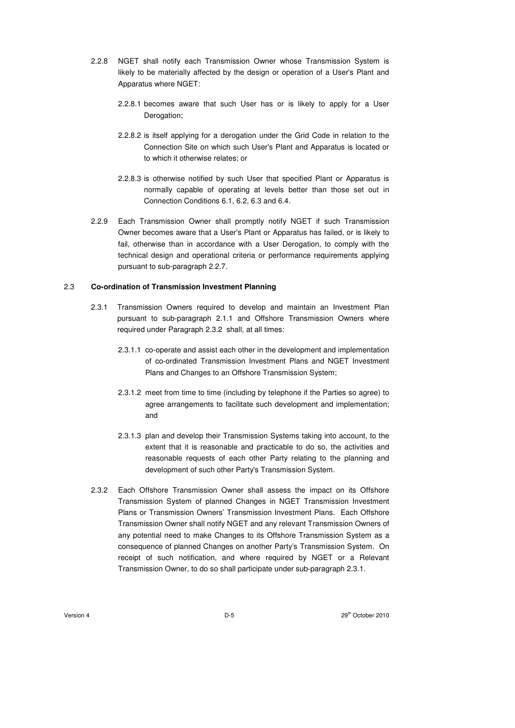- 2.2.8 NGET shall notify each Transmission Owner whose Transmission System is likely to be materially affected by the design or operation of a User's Plant and Apparatus where NGET:
	- 2.2.8.1 becomes aware that such User has or is likely to apply for a User Derogation;
	- 2.2.8.2 is itself applying for a derogation under the Grid Code in relation to the Connection Site on which such User's Plant and Apparatus is located or to which it otherwise relates; or
	- 2.2.8.3 is otherwise notified by such User that specified Plant or Apparatus is normally capable of operating at levels better than those set out in Connection Conditions 6.1, 6.2, 6.3 and 6.4.
- 2.2.9 Each Transmission Owner shall promptly notify NGET if such Transmission Owner becomes aware that a User's Plant or Apparatus has failed, or is likely to fail, otherwise than in accordance with a User Derogation, to comply with the technical design and operational criteria or performance requirements applying pursuant to sub-paragraph 2.2.7.

#### 2.3 **Co-ordination of Transmission Investment Planning**

- 2.3.1 Transmission Owners required to develop and maintain an Investment Plan pursuant to sub-paragraph 2.1.1 and Offshore Transmission Owners where required under Paragraph 2.3.2 shall, at all times:
	- 2.3.1.1 co-operate and assist each other in the development and implementation of co-ordinated Transmission Investment Plans and NGET Investment Plans and Changes to an Offshore Transmission System;
	- 2.3.1.2 meet from time to time (including by telephone if the Parties so agree) to agree arrangements to facilitate such development and implementation; and
	- 2.3.1.3 plan and develop their Transmission Systems taking into account, to the extent that it is reasonable and practicable to do so, the activities and reasonable requests of each other Party relating to the planning and development of such other Party's Transmission System.
- 2.3.2 Each Offshore Transmission Owner shall assess the impact on its Offshore Transmission System of planned Changes in NGET Transmission Investment Plans or Transmission Owners' Transmission Investment Plans. Each Offshore Transmission Owner shall notify NGET and any relevant Transmission Owners of any potential need to make Changes to its Offshore Transmission System as a consequence of planned Changes on another Party's Transmission System. On receipt of such notification, and where required by NGET or a Relevant Transmission Owner, to do so shall participate under sub-paragraph 2.3.1.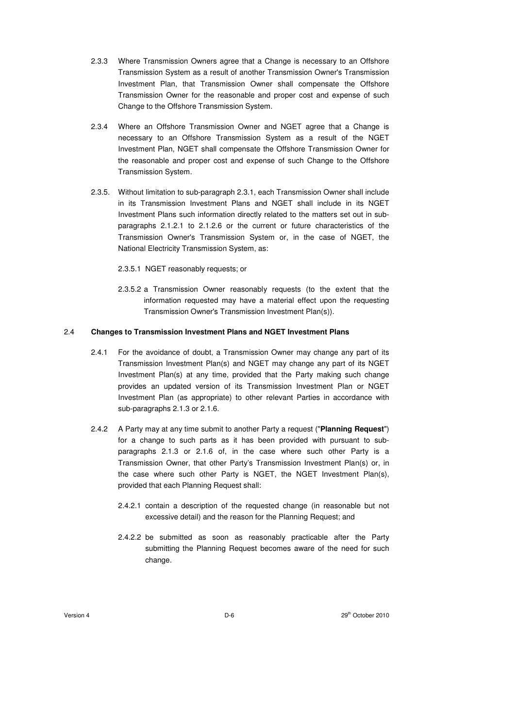- 2.3.3 Where Transmission Owners agree that a Change is necessary to an Offshore Transmission System as a result of another Transmission Owner's Transmission Investment Plan, that Transmission Owner shall compensate the Offshore Transmission Owner for the reasonable and proper cost and expense of such Change to the Offshore Transmission System.
- 2.3.4 Where an Offshore Transmission Owner and NGET agree that a Change is necessary to an Offshore Transmission System as a result of the NGET Investment Plan, NGET shall compensate the Offshore Transmission Owner for the reasonable and proper cost and expense of such Change to the Offshore Transmission System.
- 2.3.5. Without limitation to sub-paragraph 2.3.1, each Transmission Owner shall include in its Transmission Investment Plans and NGET shall include in its NGET Investment Plans such information directly related to the matters set out in subparagraphs 2.1.2.1 to 2.1.2.6 or the current or future characteristics of the Transmission Owner's Transmission System or, in the case of NGET, the National Electricity Transmission System, as:
	- 2.3.5.1 NGET reasonably requests; or
	- 2.3.5.2 a Transmission Owner reasonably requests (to the extent that the information requested may have a material effect upon the requesting Transmission Owner's Transmission Investment Plan(s)).

## 2.4 **Changes to Transmission Investment Plans and NGET Investment Plans**

- 2.4.1 For the avoidance of doubt, a Transmission Owner may change any part of its Transmission Investment Plan(s) and NGET may change any part of its NGET Investment Plan(s) at any time, provided that the Party making such change provides an updated version of its Transmission Investment Plan or NGET Investment Plan (as appropriate) to other relevant Parties in accordance with sub-paragraphs 2.1.3 or 2.1.6.
- 2.4.2 A Party may at any time submit to another Party a request ("**Planning Request**") for a change to such parts as it has been provided with pursuant to subparagraphs 2.1.3 or 2.1.6 of, in the case where such other Party is a Transmission Owner, that other Party's Transmission Investment Plan(s) or, in the case where such other Party is NGET, the NGET Investment Plan(s), provided that each Planning Request shall:
	- 2.4.2.1 contain a description of the requested change (in reasonable but not excessive detail) and the reason for the Planning Request; and
	- 2.4.2.2 be submitted as soon as reasonably practicable after the Party submitting the Planning Request becomes aware of the need for such change.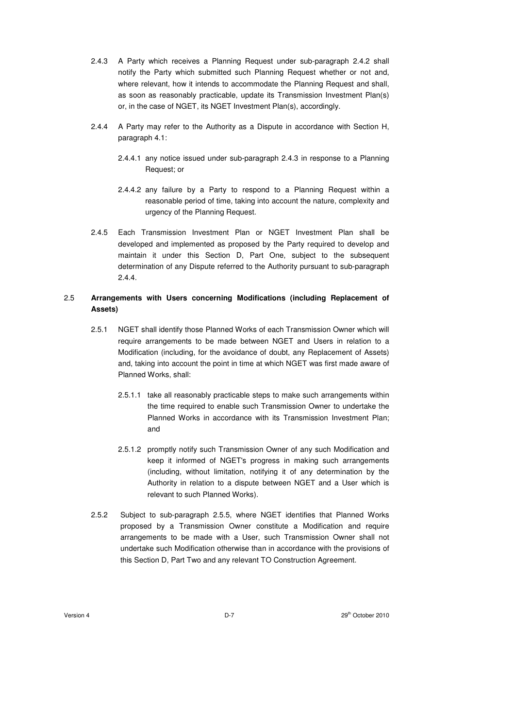- 2.4.3 A Party which receives a Planning Request under sub-paragraph 2.4.2 shall notify the Party which submitted such Planning Request whether or not and, where relevant, how it intends to accommodate the Planning Request and shall, as soon as reasonably practicable, update its Transmission Investment Plan(s) or, in the case of NGET, its NGET Investment Plan(s), accordingly.
- 2.4.4 A Party may refer to the Authority as a Dispute in accordance with Section H, paragraph 4.1:
	- 2.4.4.1 any notice issued under sub-paragraph 2.4.3 in response to a Planning Request; or
	- 2.4.4.2 any failure by a Party to respond to a Planning Request within a reasonable period of time, taking into account the nature, complexity and urgency of the Planning Request.
- 2.4.5 Each Transmission Investment Plan or NGET Investment Plan shall be developed and implemented as proposed by the Party required to develop and maintain it under this Section D, Part One, subject to the subsequent determination of any Dispute referred to the Authority pursuant to sub-paragraph 2.4.4.

# 2.5 **Arrangements with Users concerning Modifications (including Replacement of Assets)**

- 2.5.1 NGET shall identify those Planned Works of each Transmission Owner which will require arrangements to be made between NGET and Users in relation to a Modification (including, for the avoidance of doubt, any Replacement of Assets) and, taking into account the point in time at which NGET was first made aware of Planned Works, shall:
	- 2.5.1.1 take all reasonably practicable steps to make such arrangements within the time required to enable such Transmission Owner to undertake the Planned Works in accordance with its Transmission Investment Plan; and
	- 2.5.1.2 promptly notify such Transmission Owner of any such Modification and keep it informed of NGET's progress in making such arrangements (including, without limitation, notifying it of any determination by the Authority in relation to a dispute between NGET and a User which is relevant to such Planned Works).
- 2.5.2 Subject to sub-paragraph 2.5.5, where NGET identifies that Planned Works proposed by a Transmission Owner constitute a Modification and require arrangements to be made with a User, such Transmission Owner shall not undertake such Modification otherwise than in accordance with the provisions of this Section D, Part Two and any relevant TO Construction Agreement.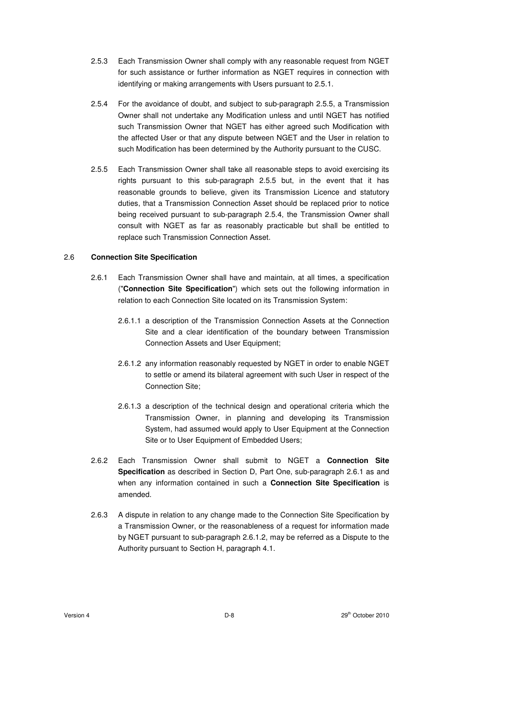- 2.5.3 Each Transmission Owner shall comply with any reasonable request from NGET for such assistance or further information as NGET requires in connection with identifying or making arrangements with Users pursuant to 2.5.1.
- 2.5.4 For the avoidance of doubt, and subject to sub-paragraph 2.5.5, a Transmission Owner shall not undertake any Modification unless and until NGET has notified such Transmission Owner that NGET has either agreed such Modification with the affected User or that any dispute between NGET and the User in relation to such Modification has been determined by the Authority pursuant to the CUSC.
- 2.5.5 Each Transmission Owner shall take all reasonable steps to avoid exercising its rights pursuant to this sub-paragraph 2.5.5 but, in the event that it has reasonable grounds to believe, given its Transmission Licence and statutory duties, that a Transmission Connection Asset should be replaced prior to notice being received pursuant to sub-paragraph 2.5.4, the Transmission Owner shall consult with NGET as far as reasonably practicable but shall be entitled to replace such Transmission Connection Asset.

#### 2.6 **Connection Site Specification**

- 2.6.1 Each Transmission Owner shall have and maintain, at all times, a specification ("**Connection Site Specification**") which sets out the following information in relation to each Connection Site located on its Transmission System:
	- 2.6.1.1 a description of the Transmission Connection Assets at the Connection Site and a clear identification of the boundary between Transmission Connection Assets and User Equipment;
	- 2.6.1.2 any information reasonably requested by NGET in order to enable NGET to settle or amend its bilateral agreement with such User in respect of the Connection Site;
	- 2.6.1.3 a description of the technical design and operational criteria which the Transmission Owner, in planning and developing its Transmission System, had assumed would apply to User Equipment at the Connection Site or to User Equipment of Embedded Users;
- 2.6.2 Each Transmission Owner shall submit to NGET a **Connection Site Specification** as described in Section D, Part One, sub-paragraph 2.6.1 as and when any information contained in such a **Connection Site Specification** is amended.
- 2.6.3 A dispute in relation to any change made to the Connection Site Specification by a Transmission Owner, or the reasonableness of a request for information made by NGET pursuant to sub-paragraph 2.6.1.2, may be referred as a Dispute to the Authority pursuant to Section H, paragraph 4.1.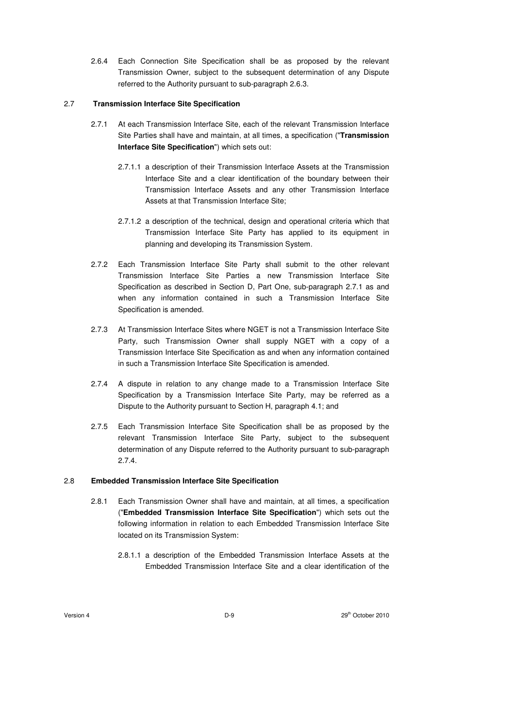2.6.4 Each Connection Site Specification shall be as proposed by the relevant Transmission Owner, subject to the subsequent determination of any Dispute referred to the Authority pursuant to sub-paragraph 2.6.3.

### 2.7 **Transmission Interface Site Specification**

- 2.7.1 At each Transmission Interface Site, each of the relevant Transmission Interface Site Parties shall have and maintain, at all times, a specification ("**Transmission Interface Site Specification**") which sets out:
	- 2.7.1.1 a description of their Transmission Interface Assets at the Transmission Interface Site and a clear identification of the boundary between their Transmission Interface Assets and any other Transmission Interface Assets at that Transmission Interface Site;
	- 2.7.1.2 a description of the technical, design and operational criteria which that Transmission Interface Site Party has applied to its equipment in planning and developing its Transmission System.
- 2.7.2 Each Transmission Interface Site Party shall submit to the other relevant Transmission Interface Site Parties a new Transmission Interface Site Specification as described in Section D, Part One, sub-paragraph 2.7.1 as and when any information contained in such a Transmission Interface Site Specification is amended.
- 2.7.3 At Transmission Interface Sites where NGET is not a Transmission Interface Site Party, such Transmission Owner shall supply NGET with a copy of a Transmission Interface Site Specification as and when any information contained in such a Transmission Interface Site Specification is amended.
- 2.7.4 A dispute in relation to any change made to a Transmission Interface Site Specification by a Transmission Interface Site Party, may be referred as a Dispute to the Authority pursuant to Section H, paragraph 4.1; and
- 2.7.5 Each Transmission Interface Site Specification shall be as proposed by the relevant Transmission Interface Site Party, subject to the subsequent determination of any Dispute referred to the Authority pursuant to sub-paragraph 2.7.4.

## 2.8 **Embedded Transmission Interface Site Specification**

- 2.8.1 Each Transmission Owner shall have and maintain, at all times, a specification ("**Embedded Transmission Interface Site Specification**") which sets out the following information in relation to each Embedded Transmission Interface Site located on its Transmission System:
	- 2.8.1.1 a description of the Embedded Transmission Interface Assets at the Embedded Transmission Interface Site and a clear identification of the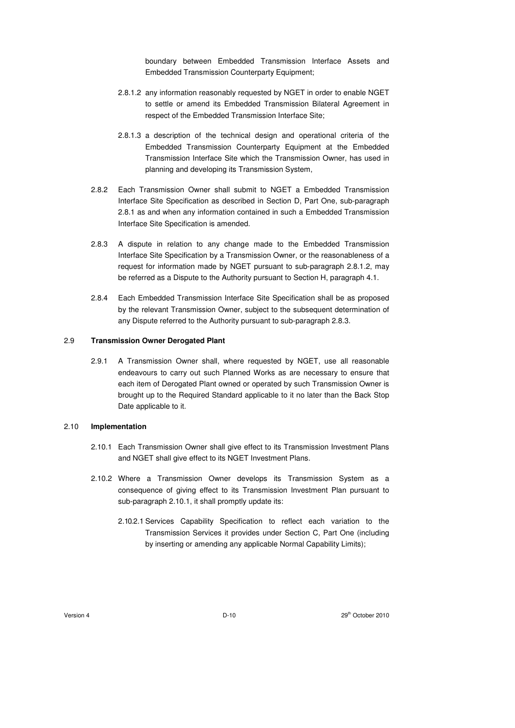boundary between Embedded Transmission Interface Assets and Embedded Transmission Counterparty Equipment;

- 2.8.1.2 any information reasonably requested by NGET in order to enable NGET to settle or amend its Embedded Transmission Bilateral Agreement in respect of the Embedded Transmission Interface Site;
- 2.8.1.3 a description of the technical design and operational criteria of the Embedded Transmission Counterparty Equipment at the Embedded Transmission Interface Site which the Transmission Owner, has used in planning and developing its Transmission System,
- 2.8.2 Each Transmission Owner shall submit to NGET a Embedded Transmission Interface Site Specification as described in Section D, Part One, sub-paragraph 2.8.1 as and when any information contained in such a Embedded Transmission Interface Site Specification is amended.
- 2.8.3 A dispute in relation to any change made to the Embedded Transmission Interface Site Specification by a Transmission Owner, or the reasonableness of a request for information made by NGET pursuant to sub-paragraph 2.8.1.2, may be referred as a Dispute to the Authority pursuant to Section H, paragraph 4.1.
- 2.8.4 Each Embedded Transmission Interface Site Specification shall be as proposed by the relevant Transmission Owner, subject to the subsequent determination of any Dispute referred to the Authority pursuant to sub-paragraph 2.8.3.

#### 2.9 **Transmission Owner Derogated Plant**

2.9.1 A Transmission Owner shall, where requested by NGET, use all reasonable endeavours to carry out such Planned Works as are necessary to ensure that each item of Derogated Plant owned or operated by such Transmission Owner is brought up to the Required Standard applicable to it no later than the Back Stop Date applicable to it.

#### 2.10 **Implementation**

- 2.10.1 Each Transmission Owner shall give effect to its Transmission Investment Plans and NGET shall give effect to its NGET Investment Plans.
- 2.10.2 Where a Transmission Owner develops its Transmission System as a consequence of giving effect to its Transmission Investment Plan pursuant to sub-paragraph 2.10.1, it shall promptly update its:
	- 2.10.2.1 Services Capability Specification to reflect each variation to the Transmission Services it provides under Section C, Part One (including by inserting or amending any applicable Normal Capability Limits);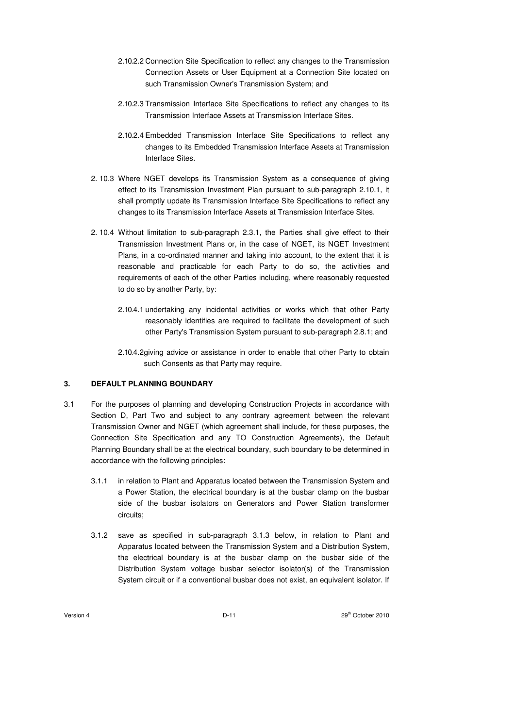- 2.10.2.2 Connection Site Specification to reflect any changes to the Transmission Connection Assets or User Equipment at a Connection Site located on such Transmission Owner's Transmission System; and
- 2.10.2.3 Transmission Interface Site Specifications to reflect any changes to its Transmission Interface Assets at Transmission Interface Sites.
- 2.10.2.4 Embedded Transmission Interface Site Specifications to reflect any changes to its Embedded Transmission Interface Assets at Transmission Interface Sites.
- 2. 10.3 Where NGET develops its Transmission System as a consequence of giving effect to its Transmission Investment Plan pursuant to sub-paragraph 2.10.1, it shall promptly update its Transmission Interface Site Specifications to reflect any changes to its Transmission Interface Assets at Transmission Interface Sites.
- 2. 10.4 Without limitation to sub-paragraph 2.3.1, the Parties shall give effect to their Transmission Investment Plans or, in the case of NGET, its NGET Investment Plans, in a co-ordinated manner and taking into account, to the extent that it is reasonable and practicable for each Party to do so, the activities and requirements of each of the other Parties including, where reasonably requested to do so by another Party, by:
	- 2.10.4.1 undertaking any incidental activities or works which that other Party reasonably identifies are required to facilitate the development of such other Party's Transmission System pursuant to sub-paragraph 2.8.1; and
	- 2.10.4.2 giving advice or assistance in order to enable that other Party to obtain such Consents as that Party may require.

# **3. DEFAULT PLANNING BOUNDARY**

- 3.1 For the purposes of planning and developing Construction Projects in accordance with Section D, Part Two and subject to any contrary agreement between the relevant Transmission Owner and NGET (which agreement shall include, for these purposes, the Connection Site Specification and any TO Construction Agreements), the Default Planning Boundary shall be at the electrical boundary, such boundary to be determined in accordance with the following principles:
	- 3.1.1 in relation to Plant and Apparatus located between the Transmission System and a Power Station, the electrical boundary is at the busbar clamp on the busbar side of the busbar isolators on Generators and Power Station transformer circuits;
	- 3.1.2 save as specified in sub-paragraph 3.1.3 below, in relation to Plant and Apparatus located between the Transmission System and a Distribution System, the electrical boundary is at the busbar clamp on the busbar side of the Distribution System voltage busbar selector isolator(s) of the Transmission System circuit or if a conventional busbar does not exist, an equivalent isolator. If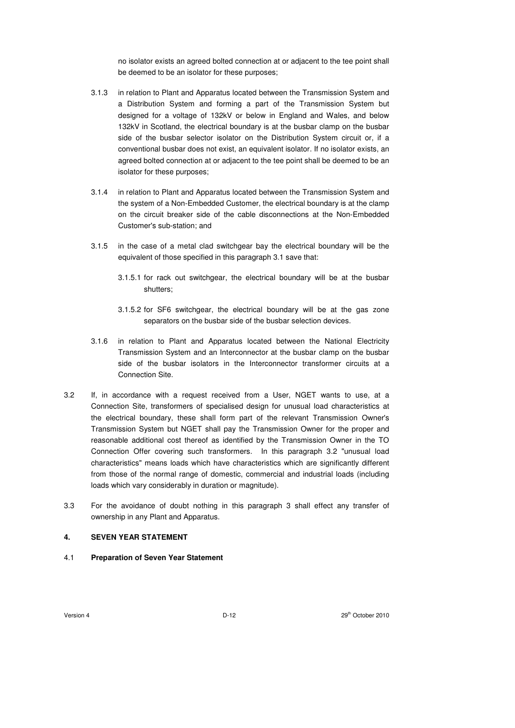no isolator exists an agreed bolted connection at or adjacent to the tee point shall be deemed to be an isolator for these purposes;

- 3.1.3 in relation to Plant and Apparatus located between the Transmission System and a Distribution System and forming a part of the Transmission System but designed for a voltage of 132kV or below in England and Wales, and below 132kV in Scotland, the electrical boundary is at the busbar clamp on the busbar side of the busbar selector isolator on the Distribution System circuit or, if a conventional busbar does not exist, an equivalent isolator. If no isolator exists, an agreed bolted connection at or adjacent to the tee point shall be deemed to be an isolator for these purposes;
- 3.1.4 in relation to Plant and Apparatus located between the Transmission System and the system of a Non-Embedded Customer, the electrical boundary is at the clamp on the circuit breaker side of the cable disconnections at the Non-Embedded Customer's sub-station; and
- 3.1.5 in the case of a metal clad switchgear bay the electrical boundary will be the equivalent of those specified in this paragraph 3.1 save that:
	- 3.1.5.1 for rack out switchgear, the electrical boundary will be at the busbar shutters;
	- 3.1.5.2 for SF6 switchgear, the electrical boundary will be at the gas zone separators on the busbar side of the busbar selection devices.
- 3.1.6 in relation to Plant and Apparatus located between the National Electricity Transmission System and an Interconnector at the busbar clamp on the busbar side of the busbar isolators in the Interconnector transformer circuits at a Connection Site.
- 3.2 If, in accordance with a request received from a User, NGET wants to use, at a Connection Site, transformers of specialised design for unusual load characteristics at the electrical boundary, these shall form part of the relevant Transmission Owner's Transmission System but NGET shall pay the Transmission Owner for the proper and reasonable additional cost thereof as identified by the Transmission Owner in the TO Connection Offer covering such transformers. In this paragraph 3.2 "unusual load characteristics" means loads which have characteristics which are significantly different from those of the normal range of domestic, commercial and industrial loads (including loads which vary considerably in duration or magnitude).
- 3.3 For the avoidance of doubt nothing in this paragraph 3 shall effect any transfer of ownership in any Plant and Apparatus.

# **4. SEVEN YEAR STATEMENT**

4.1 **Preparation of Seven Year Statement**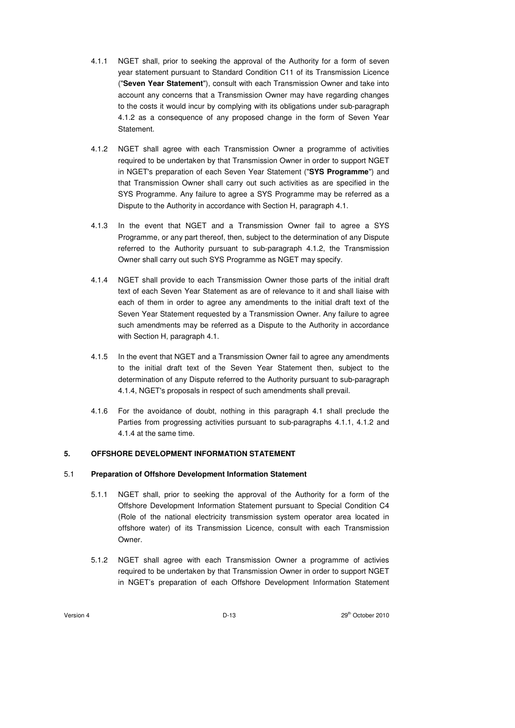- 4.1.1 NGET shall, prior to seeking the approval of the Authority for a form of seven year statement pursuant to Standard Condition C11 of its Transmission Licence ("**Seven Year Statement**"), consult with each Transmission Owner and take into account any concerns that a Transmission Owner may have regarding changes to the costs it would incur by complying with its obligations under sub-paragraph 4.1.2 as a consequence of any proposed change in the form of Seven Year Statement.
- 4.1.2 NGET shall agree with each Transmission Owner a programme of activities required to be undertaken by that Transmission Owner in order to support NGET in NGET's preparation of each Seven Year Statement ("**SYS Programme**") and that Transmission Owner shall carry out such activities as are specified in the SYS Programme. Any failure to agree a SYS Programme may be referred as a Dispute to the Authority in accordance with Section H, paragraph 4.1.
- 4.1.3 In the event that NGET and a Transmission Owner fail to agree a SYS Programme, or any part thereof, then, subject to the determination of any Dispute referred to the Authority pursuant to sub-paragraph 4.1.2, the Transmission Owner shall carry out such SYS Programme as NGET may specify.
- 4.1.4 NGET shall provide to each Transmission Owner those parts of the initial draft text of each Seven Year Statement as are of relevance to it and shall liaise with each of them in order to agree any amendments to the initial draft text of the Seven Year Statement requested by a Transmission Owner. Any failure to agree such amendments may be referred as a Dispute to the Authority in accordance with Section H, paragraph 4.1.
- 4.1.5 In the event that NGET and a Transmission Owner fail to agree any amendments to the initial draft text of the Seven Year Statement then, subject to the determination of any Dispute referred to the Authority pursuant to sub-paragraph 4.1.4, NGET's proposals in respect of such amendments shall prevail.
- 4.1.6 For the avoidance of doubt, nothing in this paragraph 4.1 shall preclude the Parties from progressing activities pursuant to sub-paragraphs 4.1.1, 4.1.2 and 4.1.4 at the same time.

### **5. OFFSHORE DEVELOPMENT INFORMATION STATEMENT**

### 5.1 **Preparation of Offshore Development Information Statement**

- 5.1.1 NGET shall, prior to seeking the approval of the Authority for a form of the Offshore Development Information Statement pursuant to Special Condition C4 (Role of the national electricity transmission system operator area located in offshore water) of its Transmission Licence, consult with each Transmission Owner.
- 5.1.2 NGET shall agree with each Transmission Owner a programme of activies required to be undertaken by that Transmission Owner in order to support NGET in NGET's preparation of each Offshore Development Information Statement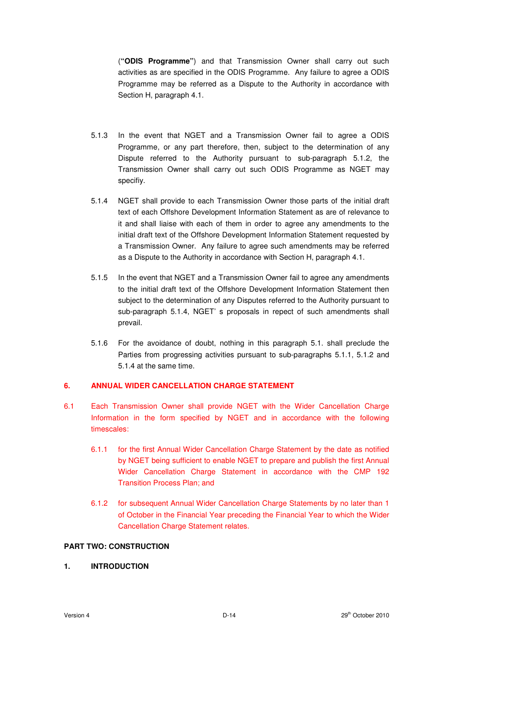(**"ODIS Programme"**) and that Transmission Owner shall carry out such activities as are specified in the ODIS Programme. Any failure to agree a ODIS Programme may be referred as a Dispute to the Authority in accordance with Section H, paragraph 4.1.

- 5.1.3 In the event that NGET and a Transmission Owner fail to agree a ODIS Programme, or any part therefore, then, subject to the determination of any Dispute referred to the Authority pursuant to sub-paragraph 5.1.2, the Transmission Owner shall carry out such ODIS Programme as NGET may specifiy.
- 5.1.4 NGET shall provide to each Transmission Owner those parts of the initial draft text of each Offshore Development Information Statement as are of relevance to it and shall liaise with each of them in order to agree any amendments to the initial draft text of the Offshore Development Information Statement requested by a Transmission Owner. Any failure to agree such amendments may be referred as a Dispute to the Authority in accordance with Section H, paragraph 4.1.
- 5.1.5 In the event that NGET and a Transmission Owner fail to agree any amendments to the initial draft text of the Offshore Development Information Statement then subject to the determination of any Disputes referred to the Authority pursuant to sub-paragraph 5.1.4, NGET' s proposals in repect of such amendments shall prevail.
- 5.1.6 For the avoidance of doubt, nothing in this paragraph 5.1. shall preclude the Parties from progressing activities pursuant to sub-paragraphs 5.1.1, 5.1.2 and 5.1.4 at the same time.

### **6. ANNUAL WIDER CANCELLATION CHARGE STATEMENT**

- 6.1 Each Transmission Owner shall provide NGET with the Wider Cancellation Charge Information in the form specified by NGET and in accordance with the following timescales:
	- 6.1.1 for the first Annual Wider Cancellation Charge Statement by the date as notified by NGET being sufficient to enable NGET to prepare and publish the first Annual Wider Cancellation Charge Statement in accordance with the CMP 192 Transition Process Plan; and
	- 6.1.2 for subsequent Annual Wider Cancellation Charge Statements by no later than 1 of October in the Financial Year preceding the Financial Year to which the Wider Cancellation Charge Statement relates.

### **PART TWO: CONSTRUCTION**

### **1. INTRODUCTION**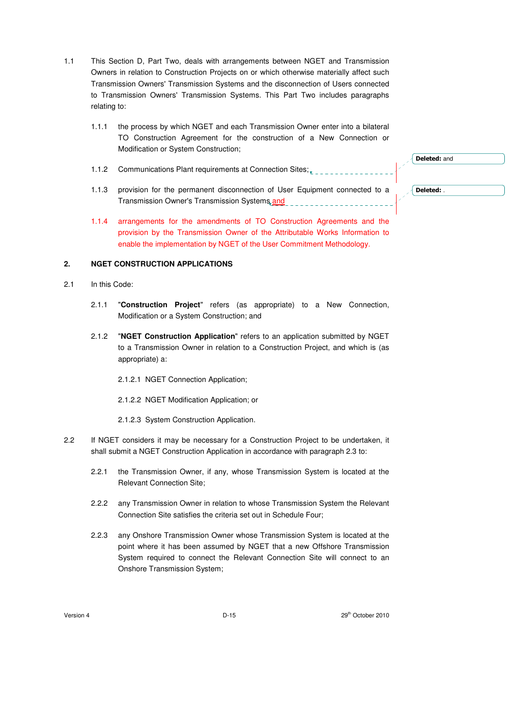- 1.1 This Section D, Part Two, deals with arrangements between NGET and Transmission Owners in relation to Construction Projects on or which otherwise materially affect such Transmission Owners' Transmission Systems and the disconnection of Users connected to Transmission Owners' Transmission Systems. This Part Two includes paragraphs relating to:
	- 1.1.1 the process by which NGET and each Transmission Owner enter into a bilateral TO Construction Agreement for the construction of a New Connection or Modification or System Construction;
	- 1.1.2 Communications Plant requirements at Connection Sites;<br>
	- 1.1.3 provision for the permanent disconnection of User Equipment connected to a Transmission Owner's Transmission Systems and
	- 1.1.4 arrangements for the amendments of TO Construction Agreements and the provision by the Transmission Owner of the Attributable Works Information to enable the implementation by NGET of the User Commitment Methodology.

#### **2. NGET CONSTRUCTION APPLICATIONS**

- 2.1 In this Code:
	- 2.1.1 "**Construction Project**" refers (as appropriate) to a New Connection, Modification or a System Construction; and
	- 2.1.2 "**NGET Construction Application**" refers to an application submitted by NGET to a Transmission Owner in relation to a Construction Project, and which is (as appropriate) a:
		- 2.1.2.1 NGET Connection Application;
		- 2.1.2.2 NGET Modification Application; or
		- 2.1.2.3 System Construction Application.
- 2.2 If NGET considers it may be necessary for a Construction Project to be undertaken, it shall submit a NGET Construction Application in accordance with paragraph 2.3 to:
	- 2.2.1 the Transmission Owner, if any, whose Transmission System is located at the Relevant Connection Site;
	- 2.2.2 any Transmission Owner in relation to whose Transmission System the Relevant Connection Site satisfies the criteria set out in Schedule Four;
	- 2.2.3 any Onshore Transmission Owner whose Transmission System is located at the point where it has been assumed by NGET that a new Offshore Transmission System required to connect the Relevant Connection Site will connect to an Onshore Transmission System;

Version 4 D-15 29th October 2010

Deleted: and

Deleted: .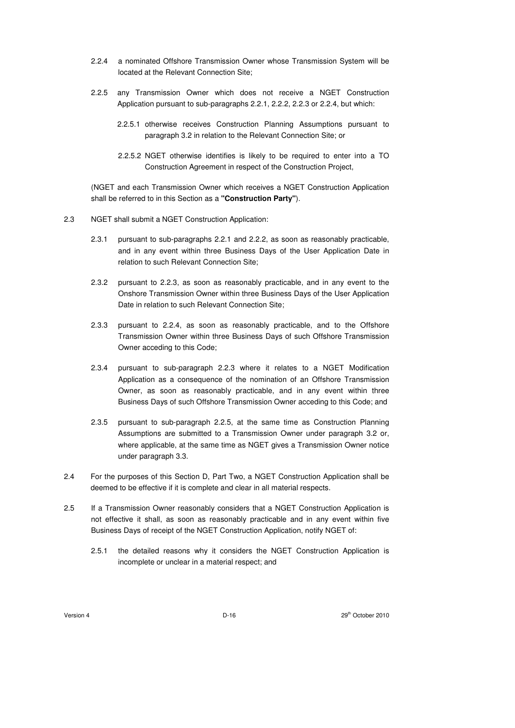- 2.2.4 a nominated Offshore Transmission Owner whose Transmission System will be located at the Relevant Connection Site;
- 2.2.5 any Transmission Owner which does not receive a NGET Construction Application pursuant to sub-paragraphs 2.2.1, 2.2.2, 2.2.3 or 2.2.4, but which:
	- 2.2.5.1 otherwise receives Construction Planning Assumptions pursuant to paragraph 3.2 in relation to the Relevant Connection Site; or
	- 2.2.5.2 NGET otherwise identifies is likely to be required to enter into a TO Construction Agreement in respect of the Construction Project,

(NGET and each Transmission Owner which receives a NGET Construction Application shall be referred to in this Section as a **"Construction Party"**).

- 2.3 NGET shall submit a NGET Construction Application:
	- 2.3.1 pursuant to sub-paragraphs 2.2.1 and 2.2.2, as soon as reasonably practicable, and in any event within three Business Days of the User Application Date in relation to such Relevant Connection Site;
	- 2.3.2 pursuant to 2.2.3, as soon as reasonably practicable, and in any event to the Onshore Transmission Owner within three Business Days of the User Application Date in relation to such Relevant Connection Site;
	- 2.3.3 pursuant to 2.2.4, as soon as reasonably practicable, and to the Offshore Transmission Owner within three Business Days of such Offshore Transmission Owner acceding to this Code;
	- 2.3.4 pursuant to sub-paragraph 2.2.3 where it relates to a NGET Modification Application as a consequence of the nomination of an Offshore Transmission Owner, as soon as reasonably practicable, and in any event within three Business Days of such Offshore Transmission Owner acceding to this Code; and
	- 2.3.5 pursuant to sub-paragraph 2.2.5, at the same time as Construction Planning Assumptions are submitted to a Transmission Owner under paragraph 3.2 or, where applicable, at the same time as NGET gives a Transmission Owner notice under paragraph 3.3.
- 2.4 For the purposes of this Section D, Part Two, a NGET Construction Application shall be deemed to be effective if it is complete and clear in all material respects.
- 2.5 If a Transmission Owner reasonably considers that a NGET Construction Application is not effective it shall, as soon as reasonably practicable and in any event within five Business Days of receipt of the NGET Construction Application, notify NGET of:
	- 2.5.1 the detailed reasons why it considers the NGET Construction Application is incomplete or unclear in a material respect; and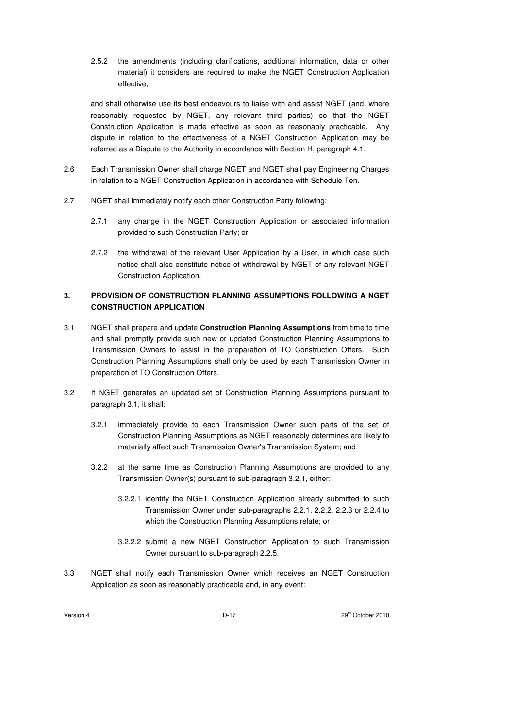2.5.2 the amendments (including clarifications, additional information, data or other material) it considers are required to make the NGET Construction Application effective,

 and shall otherwise use its best endeavours to liaise with and assist NGET (and, where reasonably requested by NGET, any relevant third parties) so that the NGET Construction Application is made effective as soon as reasonably practicable. Any dispute in relation to the effectiveness of a NGET Construction Application may be referred as a Dispute to the Authority in accordance with Section H, paragraph 4.1.

- 2.6 Each Transmission Owner shall charge NGET and NGET shall pay Engineering Charges in relation to a NGET Construction Application in accordance with Schedule Ten.
- 2.7 NGET shall immediately notify each other Construction Party following:
	- 2.7.1 any change in the NGET Construction Application or associated information provided to such Construction Party; or
	- 2.7.2 the withdrawal of the relevant User Application by a User, in which case such notice shall also constitute notice of withdrawal by NGET of any relevant NGET Construction Application.

# **3. PROVISION OF CONSTRUCTION PLANNING ASSUMPTIONS FOLLOWING A NGET CONSTRUCTION APPLICATION**

- 3.1 NGET shall prepare and update **Construction Planning Assumptions** from time to time and shall promptly provide such new or updated Construction Planning Assumptions to Transmission Owners to assist in the preparation of TO Construction Offers. Such Construction Planning Assumptions shall only be used by each Transmission Owner in preparation of TO Construction Offers.
- 3.2 If NGET generates an updated set of Construction Planning Assumptions pursuant to paragraph 3.1, it shall:
	- 3.2.1 immediately provide to each Transmission Owner such parts of the set of Construction Planning Assumptions as NGET reasonably determines are likely to materially affect such Transmission Owner's Transmission System; and
	- 3.2.2 at the same time as Construction Planning Assumptions are provided to any Transmission Owner(s) pursuant to sub-paragraph 3.2.1, either:
		- 3.2.2.1 identify the NGET Construction Application already submitted to such Transmission Owner under sub-paragraphs 2.2.1, 2.2.2, 2.2.3 or 2.2.4 to which the Construction Planning Assumptions relate; or
		- 3.2.2.2 submit a new NGET Construction Application to such Transmission Owner pursuant to sub-paragraph 2.2.5.
- 3.3 NGET shall notify each Transmission Owner which receives an NGET Construction Application as soon as reasonably practicable and, in any event: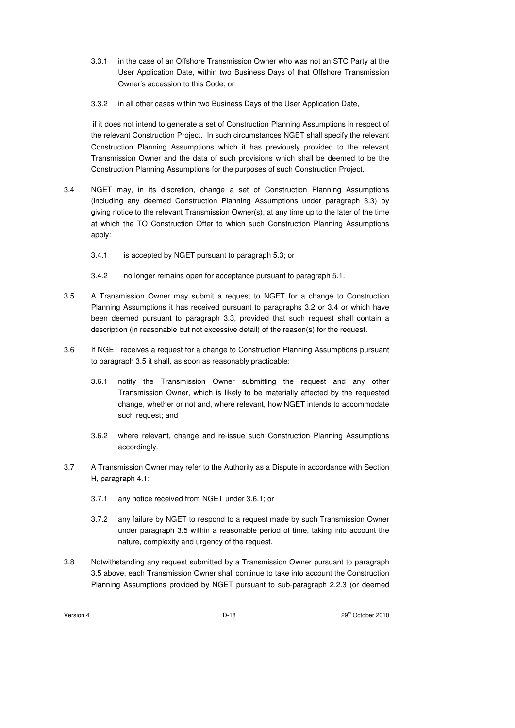- 3.3.1 in the case of an Offshore Transmission Owner who was not an STC Party at the User Application Date, within two Business Days of that Offshore Transmission Owner's accession to this Code; or
- 3.3.2 in all other cases within two Business Days of the User Application Date,

 if it does not intend to generate a set of Construction Planning Assumptions in respect of the relevant Construction Project. In such circumstances NGET shall specify the relevant Construction Planning Assumptions which it has previously provided to the relevant Transmission Owner and the data of such provisions which shall be deemed to be the Construction Planning Assumptions for the purposes of such Construction Project.

- 3.4 NGET may, in its discretion, change a set of Construction Planning Assumptions (including any deemed Construction Planning Assumptions under paragraph 3.3) by giving notice to the relevant Transmission Owner(s), at any time up to the later of the time at which the TO Construction Offer to which such Construction Planning Assumptions apply:
	- 3.4.1 is accepted by NGET pursuant to paragraph 5.3; or
	- 3.4.2 no longer remains open for acceptance pursuant to paragraph 5.1.
- 3.5 A Transmission Owner may submit a request to NGET for a change to Construction Planning Assumptions it has received pursuant to paragraphs 3.2 or 3.4 or which have been deemed pursuant to paragraph 3.3, provided that such request shall contain a description (in reasonable but not excessive detail) of the reason(s) for the request.
- 3.6 If NGET receives a request for a change to Construction Planning Assumptions pursuant to paragraph 3.5 it shall, as soon as reasonably practicable:
	- 3.6.1 notify the Transmission Owner submitting the request and any other Transmission Owner, which is likely to be materially affected by the requested change, whether or not and, where relevant, how NGET intends to accommodate such request; and
	- 3.6.2 where relevant, change and re-issue such Construction Planning Assumptions accordingly.
- 3.7 A Transmission Owner may refer to the Authority as a Dispute in accordance with Section H, paragraph 4.1:
	- 3.7.1 any notice received from NGET under 3.6.1; or
	- 3.7.2 any failure by NGET to respond to a request made by such Transmission Owner under paragraph 3.5 within a reasonable period of time, taking into account the nature, complexity and urgency of the request.
- 3.8 Notwithstanding any request submitted by a Transmission Owner pursuant to paragraph 3.5 above, each Transmission Owner shall continue to take into account the Construction Planning Assumptions provided by NGET pursuant to sub-paragraph 2.2.3 (or deemed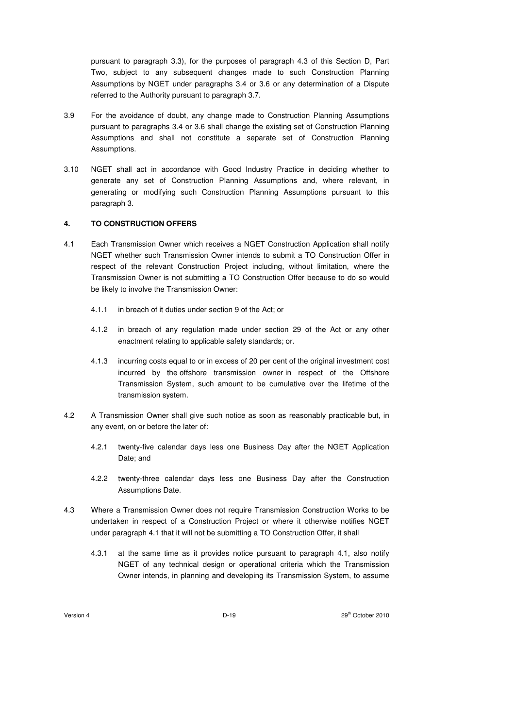pursuant to paragraph 3.3), for the purposes of paragraph 4.3 of this Section D, Part Two, subject to any subsequent changes made to such Construction Planning Assumptions by NGET under paragraphs 3.4 or 3.6 or any determination of a Dispute referred to the Authority pursuant to paragraph 3.7.

- 3.9 For the avoidance of doubt, any change made to Construction Planning Assumptions pursuant to paragraphs 3.4 or 3.6 shall change the existing set of Construction Planning Assumptions and shall not constitute a separate set of Construction Planning Assumptions.
- 3.10 NGET shall act in accordance with Good Industry Practice in deciding whether to generate any set of Construction Planning Assumptions and, where relevant, in generating or modifying such Construction Planning Assumptions pursuant to this paragraph 3.

## **4. TO CONSTRUCTION OFFERS**

- 4.1 Each Transmission Owner which receives a NGET Construction Application shall notify NGET whether such Transmission Owner intends to submit a TO Construction Offer in respect of the relevant Construction Project including, without limitation, where the Transmission Owner is not submitting a TO Construction Offer because to do so would be likely to involve the Transmission Owner:
	- 4.1.1 in breach of it duties under section 9 of the Act; or
	- 4.1.2 in breach of any regulation made under section 29 of the Act or any other enactment relating to applicable safety standards; or.
	- 4.1.3 incurring costs equal to or in excess of 20 per cent of the original investment cost incurred by the offshore transmission owner in respect of the Offshore Transmission System, such amount to be cumulative over the lifetime of the transmission system.
- 4.2 A Transmission Owner shall give such notice as soon as reasonably practicable but, in any event, on or before the later of:
	- 4.2.1 twenty-five calendar days less one Business Day after the NGET Application Date; and
	- 4.2.2 twenty-three calendar days less one Business Day after the Construction Assumptions Date.
- 4.3 Where a Transmission Owner does not require Transmission Construction Works to be undertaken in respect of a Construction Project or where it otherwise notifies NGET under paragraph 4.1 that it will not be submitting a TO Construction Offer, it shall
	- 4.3.1 at the same time as it provides notice pursuant to paragraph 4.1, also notify NGET of any technical design or operational criteria which the Transmission Owner intends, in planning and developing its Transmission System, to assume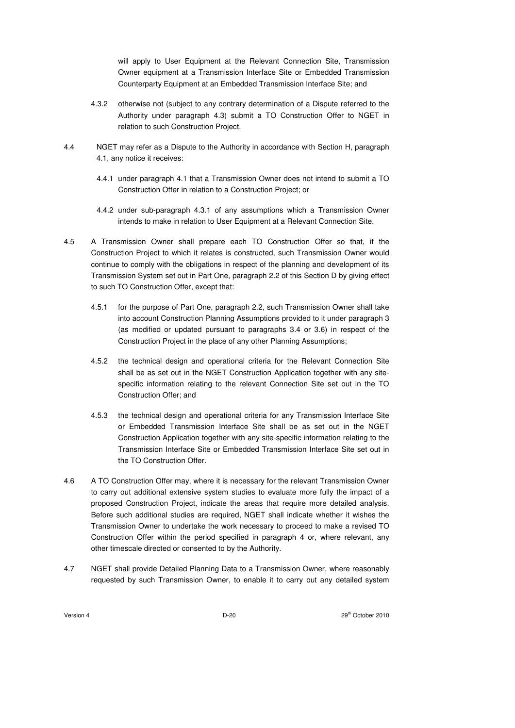will apply to User Equipment at the Relevant Connection Site, Transmission Owner equipment at a Transmission Interface Site or Embedded Transmission Counterparty Equipment at an Embedded Transmission Interface Site; and

- 4.3.2 otherwise not (subject to any contrary determination of a Dispute referred to the Authority under paragraph 4.3) submit a TO Construction Offer to NGET in relation to such Construction Project.
- 4.4 NGET may refer as a Dispute to the Authority in accordance with Section H, paragraph 4.1, any notice it receives:
	- 4.4.1 under paragraph 4.1 that a Transmission Owner does not intend to submit a TO Construction Offer in relation to a Construction Project; or
	- 4.4.2 under sub-paragraph 4.3.1 of any assumptions which a Transmission Owner intends to make in relation to User Equipment at a Relevant Connection Site.
- 4.5 A Transmission Owner shall prepare each TO Construction Offer so that, if the Construction Project to which it relates is constructed, such Transmission Owner would continue to comply with the obligations in respect of the planning and development of its Transmission System set out in Part One, paragraph 2.2 of this Section D by giving effect to such TO Construction Offer, except that:
	- 4.5.1 for the purpose of Part One, paragraph 2.2, such Transmission Owner shall take into account Construction Planning Assumptions provided to it under paragraph 3 (as modified or updated pursuant to paragraphs 3.4 or 3.6) in respect of the Construction Project in the place of any other Planning Assumptions;
	- 4.5.2 the technical design and operational criteria for the Relevant Connection Site shall be as set out in the NGET Construction Application together with any sitespecific information relating to the relevant Connection Site set out in the TO Construction Offer; and
	- 4.5.3 the technical design and operational criteria for any Transmission Interface Site or Embedded Transmission Interface Site shall be as set out in the NGET Construction Application together with any site-specific information relating to the Transmission Interface Site or Embedded Transmission Interface Site set out in the TO Construction Offer.
- 4.6 A TO Construction Offer may, where it is necessary for the relevant Transmission Owner to carry out additional extensive system studies to evaluate more fully the impact of a proposed Construction Project, indicate the areas that require more detailed analysis. Before such additional studies are required, NGET shall indicate whether it wishes the Transmission Owner to undertake the work necessary to proceed to make a revised TO Construction Offer within the period specified in paragraph 4 or, where relevant, any other timescale directed or consented to by the Authority.
- 4.7 NGET shall provide Detailed Planning Data to a Transmission Owner, where reasonably requested by such Transmission Owner, to enable it to carry out any detailed system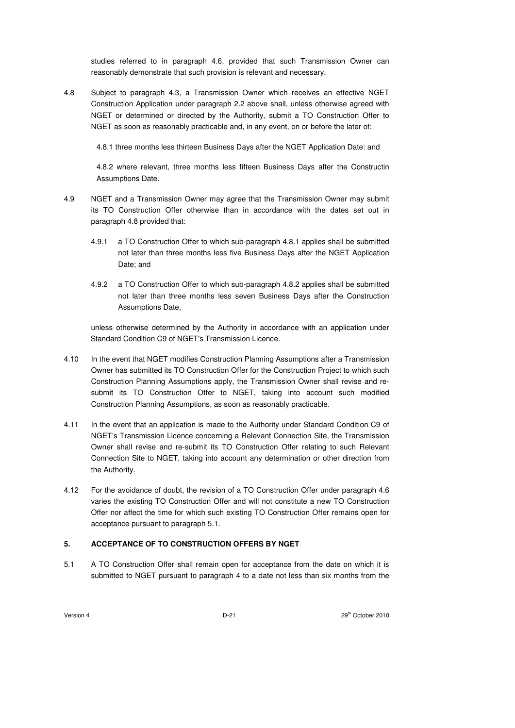studies referred to in paragraph 4.6, provided that such Transmission Owner can reasonably demonstrate that such provision is relevant and necessary.

4.8 Subject to paragraph 4.3, a Transmission Owner which receives an effective NGET Construction Application under paragraph 2.2 above shall, unless otherwise agreed with NGET or determined or directed by the Authority, submit a TO Construction Offer to NGET as soon as reasonably practicable and, in any event, on or before the later of:

4.8.1 three months less thirteen Business Days after the NGET Application Date: and

4.8.2 where relevant, three months less fifteen Business Days after the Constructin Assumptions Date.

- 4.9 NGET and a Transmission Owner may agree that the Transmission Owner may submit its TO Construction Offer otherwise than in accordance with the dates set out in paragraph 4.8 provided that:
	- 4.9.1 a TO Construction Offer to which sub-paragraph 4.8.1 applies shall be submitted not later than three months less five Business Days after the NGET Application Date; and
	- 4.9.2 a TO Construction Offer to which sub-paragraph 4.8.2 applies shall be submitted not later than three months less seven Business Days after the Construction Assumptions Date,

unless otherwise determined by the Authority in accordance with an application under Standard Condition C9 of NGET's Transmission Licence.

- 4.10 In the event that NGET modifies Construction Planning Assumptions after a Transmission Owner has submitted its TO Construction Offer for the Construction Project to which such Construction Planning Assumptions apply, the Transmission Owner shall revise and resubmit its TO Construction Offer to NGET, taking into account such modified Construction Planning Assumptions, as soon as reasonably practicable.
- 4.11 In the event that an application is made to the Authority under Standard Condition C9 of NGET's Transmission Licence concerning a Relevant Connection Site, the Transmission Owner shall revise and re-submit its TO Construction Offer relating to such Relevant Connection Site to NGET, taking into account any determination or other direction from the Authority.
- 4.12 For the avoidance of doubt, the revision of a TO Construction Offer under paragraph 4.6 varies the existing TO Construction Offer and will not constitute a new TO Construction Offer nor affect the time for which such existing TO Construction Offer remains open for acceptance pursuant to paragraph 5.1.

# **5. ACCEPTANCE OF TO CONSTRUCTION OFFERS BY NGET**

5.1 A TO Construction Offer shall remain open for acceptance from the date on which it is submitted to NGET pursuant to paragraph 4 to a date not less than six months from the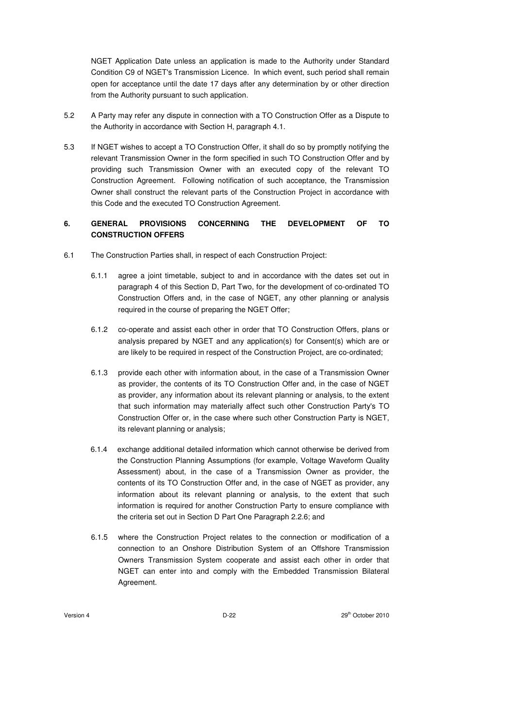NGET Application Date unless an application is made to the Authority under Standard Condition C9 of NGET's Transmission Licence. In which event, such period shall remain open for acceptance until the date 17 days after any determination by or other direction from the Authority pursuant to such application.

- 5.2 A Party may refer any dispute in connection with a TO Construction Offer as a Dispute to the Authority in accordance with Section H, paragraph 4.1.
- 5.3 If NGET wishes to accept a TO Construction Offer, it shall do so by promptly notifying the relevant Transmission Owner in the form specified in such TO Construction Offer and by providing such Transmission Owner with an executed copy of the relevant TO Construction Agreement. Following notification of such acceptance, the Transmission Owner shall construct the relevant parts of the Construction Project in accordance with this Code and the executed TO Construction Agreement.

# **6. GENERAL PROVISIONS CONCERNING THE DEVELOPMENT OF TO CONSTRUCTION OFFERS**

- 6.1 The Construction Parties shall, in respect of each Construction Project:
	- 6.1.1 agree a joint timetable, subject to and in accordance with the dates set out in paragraph 4 of this Section D, Part Two, for the development of co-ordinated TO Construction Offers and, in the case of NGET, any other planning or analysis required in the course of preparing the NGET Offer;
	- 6.1.2 co-operate and assist each other in order that TO Construction Offers, plans or analysis prepared by NGET and any application(s) for Consent(s) which are or are likely to be required in respect of the Construction Project, are co-ordinated;
	- 6.1.3 provide each other with information about, in the case of a Transmission Owner as provider, the contents of its TO Construction Offer and, in the case of NGET as provider, any information about its relevant planning or analysis, to the extent that such information may materially affect such other Construction Party's TO Construction Offer or, in the case where such other Construction Party is NGET, its relevant planning or analysis;
	- 6.1.4 exchange additional detailed information which cannot otherwise be derived from the Construction Planning Assumptions (for example, Voltage Waveform Quality Assessment) about, in the case of a Transmission Owner as provider, the contents of its TO Construction Offer and, in the case of NGET as provider, any information about its relevant planning or analysis, to the extent that such information is required for another Construction Party to ensure compliance with the criteria set out in Section D Part One Paragraph 2.2.6; and
	- 6.1.5 where the Construction Project relates to the connection or modification of a connection to an Onshore Distribution System of an Offshore Transmission Owners Transmission System cooperate and assist each other in order that NGET can enter into and comply with the Embedded Transmission Bilateral Agreement.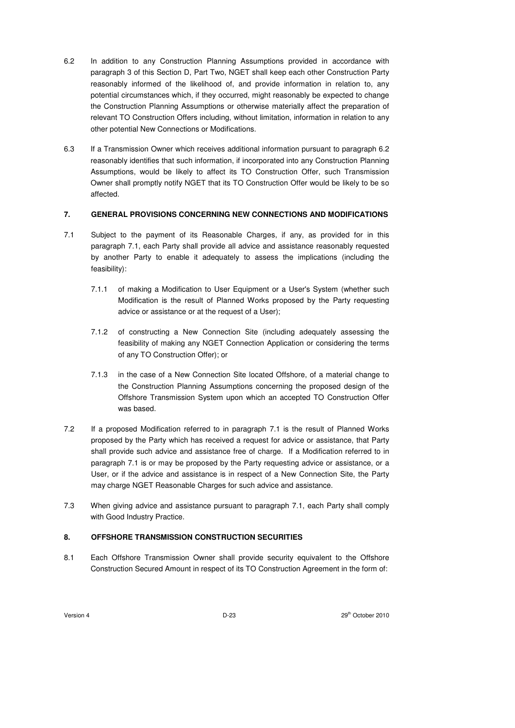- 6.2 In addition to any Construction Planning Assumptions provided in accordance with paragraph 3 of this Section D, Part Two, NGET shall keep each other Construction Party reasonably informed of the likelihood of, and provide information in relation to, any potential circumstances which, if they occurred, might reasonably be expected to change the Construction Planning Assumptions or otherwise materially affect the preparation of relevant TO Construction Offers including, without limitation, information in relation to any other potential New Connections or Modifications.
- 6.3 If a Transmission Owner which receives additional information pursuant to paragraph 6.2 reasonably identifies that such information, if incorporated into any Construction Planning Assumptions, would be likely to affect its TO Construction Offer, such Transmission Owner shall promptly notify NGET that its TO Construction Offer would be likely to be so affected.

## **7. GENERAL PROVISIONS CONCERNING NEW CONNECTIONS AND MODIFICATIONS**

- 7.1 Subject to the payment of its Reasonable Charges, if any, as provided for in this paragraph 7.1, each Party shall provide all advice and assistance reasonably requested by another Party to enable it adequately to assess the implications (including the feasibility):
	- 7.1.1 of making a Modification to User Equipment or a User's System (whether such Modification is the result of Planned Works proposed by the Party requesting advice or assistance or at the request of a User);
	- 7.1.2 of constructing a New Connection Site (including adequately assessing the feasibility of making any NGET Connection Application or considering the terms of any TO Construction Offer); or
	- 7.1.3 in the case of a New Connection Site located Offshore, of a material change to the Construction Planning Assumptions concerning the proposed design of the Offshore Transmission System upon which an accepted TO Construction Offer was based.
- 7.2 If a proposed Modification referred to in paragraph 7.1 is the result of Planned Works proposed by the Party which has received a request for advice or assistance, that Party shall provide such advice and assistance free of charge. If a Modification referred to in paragraph 7.1 is or may be proposed by the Party requesting advice or assistance, or a User, or if the advice and assistance is in respect of a New Connection Site, the Party may charge NGET Reasonable Charges for such advice and assistance.
- 7.3 When giving advice and assistance pursuant to paragraph 7.1, each Party shall comply with Good Industry Practice.

# **8. OFFSHORE TRANSMISSION CONSTRUCTION SECURITIES**

8.1 Each Offshore Transmission Owner shall provide security equivalent to the Offshore Construction Secured Amount in respect of its TO Construction Agreement in the form of: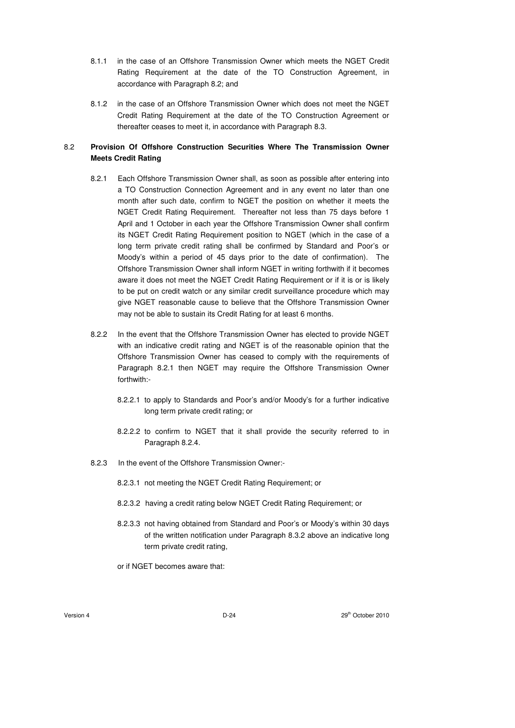- 8.1.1 in the case of an Offshore Transmission Owner which meets the NGET Credit Rating Requirement at the date of the TO Construction Agreement, in accordance with Paragraph 8.2; and
- 8.1.2 in the case of an Offshore Transmission Owner which does not meet the NGET Credit Rating Requirement at the date of the TO Construction Agreement or thereafter ceases to meet it, in accordance with Paragraph 8.3.

# 8.2 **Provision Of Offshore Construction Securities Where The Transmission Owner Meets Credit Rating**

- 8.2.1 Each Offshore Transmission Owner shall, as soon as possible after entering into a TO Construction Connection Agreement and in any event no later than one month after such date, confirm to NGET the position on whether it meets the NGET Credit Rating Requirement. Thereafter not less than 75 days before 1 April and 1 October in each year the Offshore Transmission Owner shall confirm its NGET Credit Rating Requirement position to NGET (which in the case of a long term private credit rating shall be confirmed by Standard and Poor's or Moody's within a period of 45 days prior to the date of confirmation). The Offshore Transmission Owner shall inform NGET in writing forthwith if it becomes aware it does not meet the NGET Credit Rating Requirement or if it is or is likely to be put on credit watch or any similar credit surveillance procedure which may give NGET reasonable cause to believe that the Offshore Transmission Owner may not be able to sustain its Credit Rating for at least 6 months.
- 8.2.2 In the event that the Offshore Transmission Owner has elected to provide NGET with an indicative credit rating and NGET is of the reasonable opinion that the Offshore Transmission Owner has ceased to comply with the requirements of Paragraph 8.2.1 then NGET may require the Offshore Transmission Owner forthwith:-
	- 8.2.2.1 to apply to Standards and Poor's and/or Moody's for a further indicative long term private credit rating; or
	- 8.2.2.2 to confirm to NGET that it shall provide the security referred to in Paragraph 8.2.4.
- 8.2.3 In the event of the Offshore Transmission Owner:-
	- 8.2.3.1 not meeting the NGET Credit Rating Requirement; or
	- 8.2.3.2 having a credit rating below NGET Credit Rating Requirement; or
	- 8.2.3.3 not having obtained from Standard and Poor's or Moody's within 30 days of the written notification under Paragraph 8.3.2 above an indicative long term private credit rating,
	- or if NGET becomes aware that: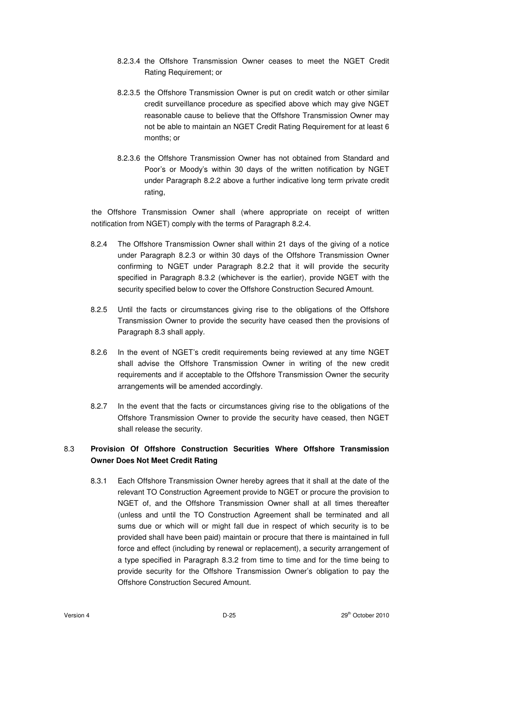- 8.2.3.4 the Offshore Transmission Owner ceases to meet the NGET Credit Rating Requirement; or
- 8.2.3.5 the Offshore Transmission Owner is put on credit watch or other similar credit surveillance procedure as specified above which may give NGET reasonable cause to believe that the Offshore Transmission Owner may not be able to maintain an NGET Credit Rating Requirement for at least 6 months; or
- 8.2.3.6 the Offshore Transmission Owner has not obtained from Standard and Poor's or Moody's within 30 days of the written notification by NGET under Paragraph 8.2.2 above a further indicative long term private credit rating,

the Offshore Transmission Owner shall (where appropriate on receipt of written notification from NGET) comply with the terms of Paragraph 8.2.4.

- 8.2.4 The Offshore Transmission Owner shall within 21 days of the giving of a notice under Paragraph 8.2.3 or within 30 days of the Offshore Transmission Owner confirming to NGET under Paragraph 8.2.2 that it will provide the security specified in Paragraph 8.3.2 (whichever is the earlier), provide NGET with the security specified below to cover the Offshore Construction Secured Amount.
- 8.2.5 Until the facts or circumstances giving rise to the obligations of the Offshore Transmission Owner to provide the security have ceased then the provisions of Paragraph 8.3 shall apply.
- 8.2.6 In the event of NGET's credit requirements being reviewed at any time NGET shall advise the Offshore Transmission Owner in writing of the new credit requirements and if acceptable to the Offshore Transmission Owner the security arrangements will be amended accordingly.
- 8.2.7 In the event that the facts or circumstances giving rise to the obligations of the Offshore Transmission Owner to provide the security have ceased, then NGET shall release the security.

# 8.3 **Provision Of Offshore Construction Securities Where Offshore Transmission Owner Does Not Meet Credit Rating**

8.3.1 Each Offshore Transmission Owner hereby agrees that it shall at the date of the relevant TO Construction Agreement provide to NGET or procure the provision to NGET of, and the Offshore Transmission Owner shall at all times thereafter (unless and until the TO Construction Agreement shall be terminated and all sums due or which will or might fall due in respect of which security is to be provided shall have been paid) maintain or procure that there is maintained in full force and effect (including by renewal or replacement), a security arrangement of a type specified in Paragraph 8.3.2 from time to time and for the time being to provide security for the Offshore Transmission Owner's obligation to pay the Offshore Construction Secured Amount.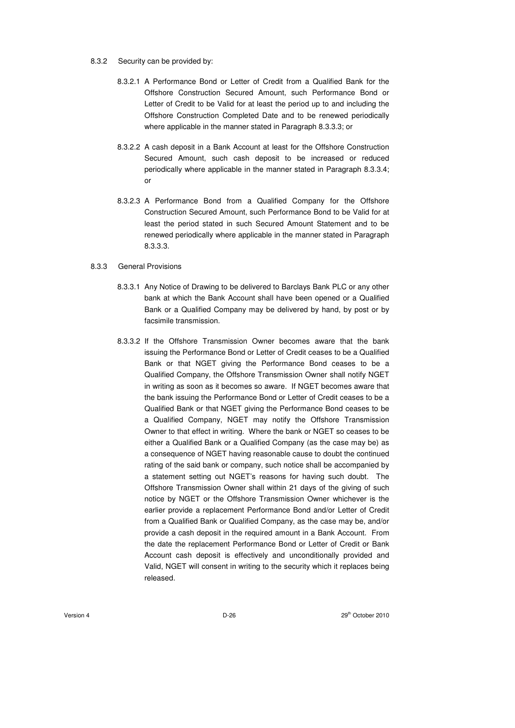- 8.3.2 Security can be provided by:
	- 8.3.2.1 A Performance Bond or Letter of Credit from a Qualified Bank for the Offshore Construction Secured Amount, such Performance Bond or Letter of Credit to be Valid for at least the period up to and including the Offshore Construction Completed Date and to be renewed periodically where applicable in the manner stated in Paragraph 8.3.3.3; or
	- 8.3.2.2 A cash deposit in a Bank Account at least for the Offshore Construction Secured Amount, such cash deposit to be increased or reduced periodically where applicable in the manner stated in Paragraph 8.3.3.4; or
	- 8.3.2.3 A Performance Bond from a Qualified Company for the Offshore Construction Secured Amount, such Performance Bond to be Valid for at least the period stated in such Secured Amount Statement and to be renewed periodically where applicable in the manner stated in Paragraph 8.3.3.3.

#### 8.3.3 General Provisions

- 8.3.3.1 Any Notice of Drawing to be delivered to Barclays Bank PLC or any other bank at which the Bank Account shall have been opened or a Qualified Bank or a Qualified Company may be delivered by hand, by post or by facsimile transmission.
- 8.3.3.2 If the Offshore Transmission Owner becomes aware that the bank issuing the Performance Bond or Letter of Credit ceases to be a Qualified Bank or that NGET giving the Performance Bond ceases to be a Qualified Company, the Offshore Transmission Owner shall notify NGET in writing as soon as it becomes so aware. If NGET becomes aware that the bank issuing the Performance Bond or Letter of Credit ceases to be a Qualified Bank or that NGET giving the Performance Bond ceases to be a Qualified Company, NGET may notify the Offshore Transmission Owner to that effect in writing. Where the bank or NGET so ceases to be either a Qualified Bank or a Qualified Company (as the case may be) as a consequence of NGET having reasonable cause to doubt the continued rating of the said bank or company, such notice shall be accompanied by a statement setting out NGET's reasons for having such doubt. The Offshore Transmission Owner shall within 21 days of the giving of such notice by NGET or the Offshore Transmission Owner whichever is the earlier provide a replacement Performance Bond and/or Letter of Credit from a Qualified Bank or Qualified Company, as the case may be, and/or provide a cash deposit in the required amount in a Bank Account. From the date the replacement Performance Bond or Letter of Credit or Bank Account cash deposit is effectively and unconditionally provided and Valid, NGET will consent in writing to the security which it replaces being released.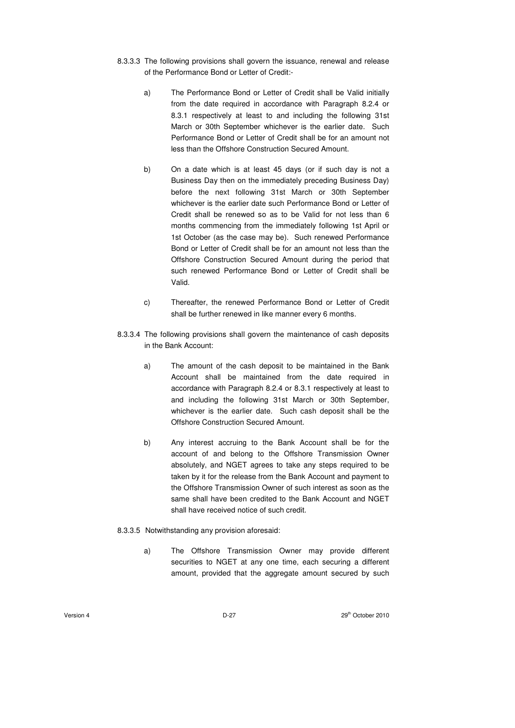- 8.3.3.3 The following provisions shall govern the issuance, renewal and release of the Performance Bond or Letter of Credit:
	- a) The Performance Bond or Letter of Credit shall be Valid initially from the date required in accordance with Paragraph 8.2.4 or 8.3.1 respectively at least to and including the following 31st March or 30th September whichever is the earlier date. Such Performance Bond or Letter of Credit shall be for an amount not less than the Offshore Construction Secured Amount.
	- b) On a date which is at least 45 days (or if such day is not a Business Day then on the immediately preceding Business Day) before the next following 31st March or 30th September whichever is the earlier date such Performance Bond or Letter of Credit shall be renewed so as to be Valid for not less than 6 months commencing from the immediately following 1st April or 1st October (as the case may be). Such renewed Performance Bond or Letter of Credit shall be for an amount not less than the Offshore Construction Secured Amount during the period that such renewed Performance Bond or Letter of Credit shall be Valid.
	- c) Thereafter, the renewed Performance Bond or Letter of Credit shall be further renewed in like manner every 6 months.
- 8.3.3.4 The following provisions shall govern the maintenance of cash deposits in the Bank Account:
	- a) The amount of the cash deposit to be maintained in the Bank Account shall be maintained from the date required in accordance with Paragraph 8.2.4 or 8.3.1 respectively at least to and including the following 31st March or 30th September, whichever is the earlier date. Such cash deposit shall be the Offshore Construction Secured Amount.
	- b) Any interest accruing to the Bank Account shall be for the account of and belong to the Offshore Transmission Owner absolutely, and NGET agrees to take any steps required to be taken by it for the release from the Bank Account and payment to the Offshore Transmission Owner of such interest as soon as the same shall have been credited to the Bank Account and NGET shall have received notice of such credit.
- 8.3.3.5 Notwithstanding any provision aforesaid:
	- a) The Offshore Transmission Owner may provide different securities to NGET at any one time, each securing a different amount, provided that the aggregate amount secured by such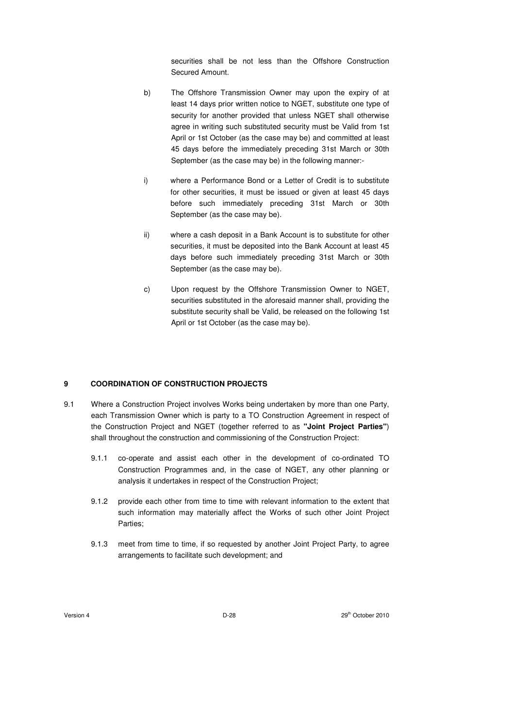securities shall be not less than the Offshore Construction Secured Amount.

- b) The Offshore Transmission Owner may upon the expiry of at least 14 days prior written notice to NGET, substitute one type of security for another provided that unless NGET shall otherwise agree in writing such substituted security must be Valid from 1st April or 1st October (as the case may be) and committed at least 45 days before the immediately preceding 31st March or 30th September (as the case may be) in the following manner:-
- i) where a Performance Bond or a Letter of Credit is to substitute for other securities, it must be issued or given at least 45 days before such immediately preceding 31st March or 30th September (as the case may be).
- ii) where a cash deposit in a Bank Account is to substitute for other securities, it must be deposited into the Bank Account at least 45 days before such immediately preceding 31st March or 30th September (as the case may be).
- c) Upon request by the Offshore Transmission Owner to NGET, securities substituted in the aforesaid manner shall, providing the substitute security shall be Valid, be released on the following 1st April or 1st October (as the case may be).

### **9 COORDINATION OF CONSTRUCTION PROJECTS**

- 9.1 Where a Construction Project involves Works being undertaken by more than one Party, each Transmission Owner which is party to a TO Construction Agreement in respect of the Construction Project and NGET (together referred to as **"Joint Project Parties"**) shall throughout the construction and commissioning of the Construction Project:
	- 9.1.1 co-operate and assist each other in the development of co-ordinated TO Construction Programmes and, in the case of NGET, any other planning or analysis it undertakes in respect of the Construction Project;
	- 9.1.2 provide each other from time to time with relevant information to the extent that such information may materially affect the Works of such other Joint Project Parties;
	- 9.1.3 meet from time to time, if so requested by another Joint Project Party, to agree arrangements to facilitate such development; and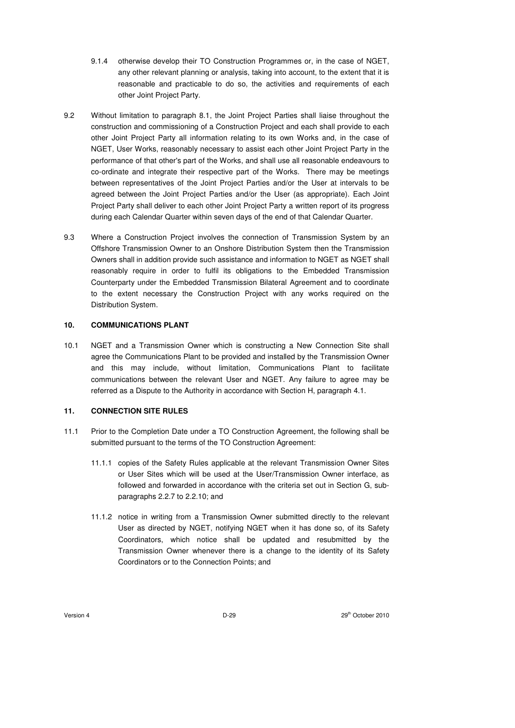- 9.1.4 otherwise develop their TO Construction Programmes or, in the case of NGET. any other relevant planning or analysis, taking into account, to the extent that it is reasonable and practicable to do so, the activities and requirements of each other Joint Project Party.
- 9.2 Without limitation to paragraph 8.1, the Joint Project Parties shall liaise throughout the construction and commissioning of a Construction Project and each shall provide to each other Joint Project Party all information relating to its own Works and, in the case of NGET, User Works, reasonably necessary to assist each other Joint Project Party in the performance of that other's part of the Works, and shall use all reasonable endeavours to co-ordinate and integrate their respective part of the Works. There may be meetings between representatives of the Joint Project Parties and/or the User at intervals to be agreed between the Joint Project Parties and/or the User (as appropriate). Each Joint Project Party shall deliver to each other Joint Project Party a written report of its progress during each Calendar Quarter within seven days of the end of that Calendar Quarter.
- 9.3 Where a Construction Project involves the connection of Transmission System by an Offshore Transmission Owner to an Onshore Distribution System then the Transmission Owners shall in addition provide such assistance and information to NGET as NGET shall reasonably require in order to fulfil its obligations to the Embedded Transmission Counterparty under the Embedded Transmission Bilateral Agreement and to coordinate to the extent necessary the Construction Project with any works required on the Distribution System.

## **10. COMMUNICATIONS PLANT**

10.1 NGET and a Transmission Owner which is constructing a New Connection Site shall agree the Communications Plant to be provided and installed by the Transmission Owner and this may include, without limitation, Communications Plant to facilitate communications between the relevant User and NGET. Any failure to agree may be referred as a Dispute to the Authority in accordance with Section H, paragraph 4.1.

### **11. CONNECTION SITE RULES**

- 11.1 Prior to the Completion Date under a TO Construction Agreement, the following shall be submitted pursuant to the terms of the TO Construction Agreement:
	- 11.1.1 copies of the Safety Rules applicable at the relevant Transmission Owner Sites or User Sites which will be used at the User/Transmission Owner interface, as followed and forwarded in accordance with the criteria set out in Section G, subparagraphs 2.2.7 to 2.2.10; and
	- 11.1.2 notice in writing from a Transmission Owner submitted directly to the relevant User as directed by NGET, notifying NGET when it has done so, of its Safety Coordinators, which notice shall be updated and resubmitted by the Transmission Owner whenever there is a change to the identity of its Safety Coordinators or to the Connection Points; and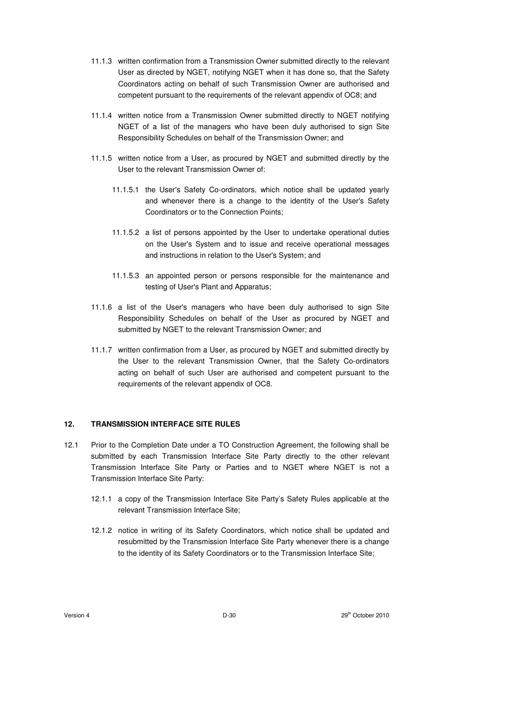- 11.1.3 written confirmation from a Transmission Owner submitted directly to the relevant User as directed by NGET, notifying NGET when it has done so, that the Safety Coordinators acting on behalf of such Transmission Owner are authorised and competent pursuant to the requirements of the relevant appendix of OC8; and
- 11.1.4 written notice from a Transmission Owner submitted directly to NGET notifying NGET of a list of the managers who have been duly authorised to sign Site Responsibility Schedules on behalf of the Transmission Owner; and
- 11.1.5 written notice from a User, as procured by NGET and submitted directly by the User to the relevant Transmission Owner of:
	- 11.1.5.1 the User's Safety Co-ordinators, which notice shall be updated yearly and whenever there is a change to the identity of the User's Safety Coordinators or to the Connection Points;
	- 11.1.5.2 a list of persons appointed by the User to undertake operational duties on the User's System and to issue and receive operational messages and instructions in relation to the User's System; and
	- 11.1.5.3 an appointed person or persons responsible for the maintenance and testing of User's Plant and Apparatus;
- 11.1.6 a list of the User's managers who have been duly authorised to sign Site Responsibility Schedules on behalf of the User as procured by NGET and submitted by NGET to the relevant Transmission Owner; and
- 11.1.7 written confirmation from a User, as procured by NGET and submitted directly by the User to the relevant Transmission Owner, that the Safety Co-ordinators acting on behalf of such User are authorised and competent pursuant to the requirements of the relevant appendix of OC8.

### **12. TRANSMISSION INTERFACE SITE RULES**

- 12.1 Prior to the Completion Date under a TO Construction Agreement, the following shall be submitted by each Transmission Interface Site Party directly to the other relevant Transmission Interface Site Party or Parties and to NGET where NGET is not a Transmission Interface Site Party:
	- 12.1.1 a copy of the Transmission Interface Site Party's Safety Rules applicable at the relevant Transmission Interface Site;
	- 12.1.2 notice in writing of its Safety Coordinators, which notice shall be updated and resubmitted by the Transmission Interface Site Party whenever there is a change to the identity of its Safety Coordinators or to the Transmission Interface Site;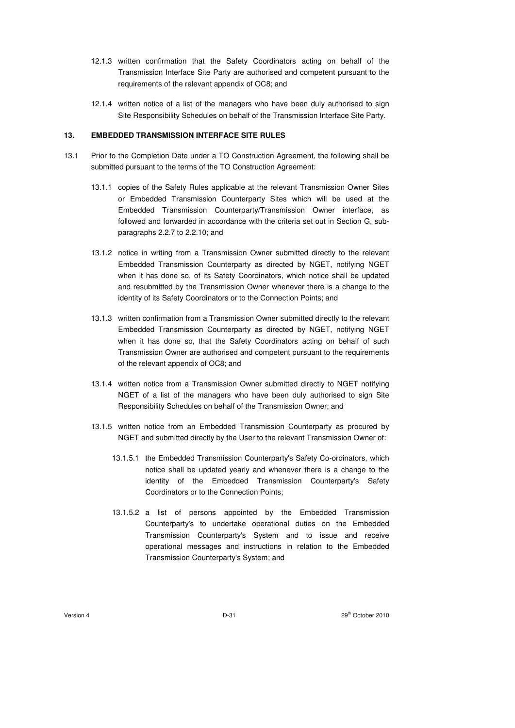- 12.1.3 written confirmation that the Safety Coordinators acting on behalf of the Transmission Interface Site Party are authorised and competent pursuant to the requirements of the relevant appendix of OC8; and
- 12.1.4 written notice of a list of the managers who have been duly authorised to sign Site Responsibility Schedules on behalf of the Transmission Interface Site Party.

# **13. EMBEDDED TRANSMISSION INTERFACE SITE RULES**

- 13.1 Prior to the Completion Date under a TO Construction Agreement, the following shall be submitted pursuant to the terms of the TO Construction Agreement:
	- 13.1.1 copies of the Safety Rules applicable at the relevant Transmission Owner Sites or Embedded Transmission Counterparty Sites which will be used at the Embedded Transmission Counterparty/Transmission Owner interface, as followed and forwarded in accordance with the criteria set out in Section G, subparagraphs 2.2.7 to 2.2.10; and
	- 13.1.2 notice in writing from a Transmission Owner submitted directly to the relevant Embedded Transmission Counterparty as directed by NGET, notifying NGET when it has done so, of its Safety Coordinators, which notice shall be updated and resubmitted by the Transmission Owner whenever there is a change to the identity of its Safety Coordinators or to the Connection Points; and
	- 13.1.3 written confirmation from a Transmission Owner submitted directly to the relevant Embedded Transmission Counterparty as directed by NGET, notifying NGET when it has done so, that the Safety Coordinators acting on behalf of such Transmission Owner are authorised and competent pursuant to the requirements of the relevant appendix of OC8; and
	- 13.1.4 written notice from a Transmission Owner submitted directly to NGET notifying NGET of a list of the managers who have been duly authorised to sign Site Responsibility Schedules on behalf of the Transmission Owner; and
	- 13.1.5 written notice from an Embedded Transmission Counterparty as procured by NGET and submitted directly by the User to the relevant Transmission Owner of:
		- 13.1.5.1 the Embedded Transmission Counterparty's Safety Co-ordinators, which notice shall be updated yearly and whenever there is a change to the identity of the Embedded Transmission Counterparty's Safety Coordinators or to the Connection Points;
		- 13.1.5.2 a list of persons appointed by the Embedded Transmission Counterparty's to undertake operational duties on the Embedded Transmission Counterparty's System and to issue and receive operational messages and instructions in relation to the Embedded Transmission Counterparty's System; and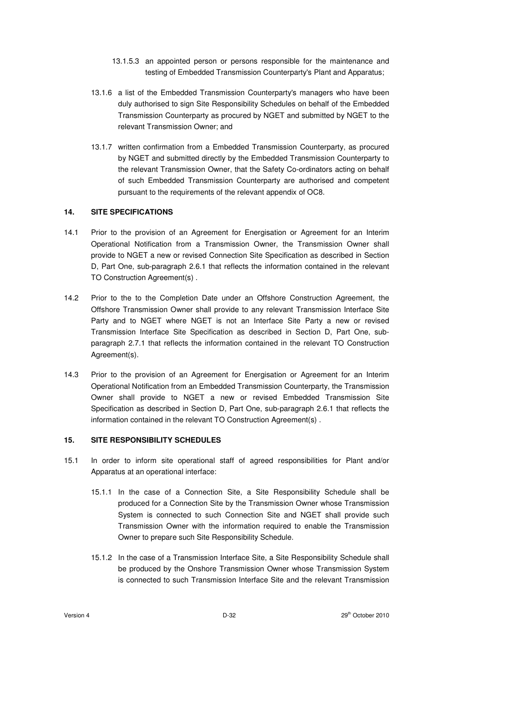- 13.1.5.3 an appointed person or persons responsible for the maintenance and testing of Embedded Transmission Counterparty's Plant and Apparatus;
- 13.1.6 a list of the Embedded Transmission Counterparty's managers who have been duly authorised to sign Site Responsibility Schedules on behalf of the Embedded Transmission Counterparty as procured by NGET and submitted by NGET to the relevant Transmission Owner; and
- 13.1.7 written confirmation from a Embedded Transmission Counterparty, as procured by NGET and submitted directly by the Embedded Transmission Counterparty to the relevant Transmission Owner, that the Safety Co-ordinators acting on behalf of such Embedded Transmission Counterparty are authorised and competent pursuant to the requirements of the relevant appendix of OC8.

### **14. SITE SPECIFICATIONS**

- 14.1 Prior to the provision of an Agreement for Energisation or Agreement for an Interim Operational Notification from a Transmission Owner, the Transmission Owner shall provide to NGET a new or revised Connection Site Specification as described in Section D, Part One, sub-paragraph 2.6.1 that reflects the information contained in the relevant TO Construction Agreement(s) .
- 14.2 Prior to the to the Completion Date under an Offshore Construction Agreement, the Offshore Transmission Owner shall provide to any relevant Transmission Interface Site Party and to NGET where NGET is not an Interface Site Party a new or revised Transmission Interface Site Specification as described in Section D, Part One, subparagraph 2.7.1 that reflects the information contained in the relevant TO Construction Agreement(s).
- 14.3 Prior to the provision of an Agreement for Energisation or Agreement for an Interim Operational Notification from an Embedded Transmission Counterparty, the Transmission Owner shall provide to NGET a new or revised Embedded Transmission Site Specification as described in Section D, Part One, sub-paragraph 2.6.1 that reflects the information contained in the relevant TO Construction Agreement(s) .

## **15. SITE RESPONSIBILITY SCHEDULES**

- 15.1 In order to inform site operational staff of agreed responsibilities for Plant and/or Apparatus at an operational interface:
	- 15.1.1 In the case of a Connection Site, a Site Responsibility Schedule shall be produced for a Connection Site by the Transmission Owner whose Transmission System is connected to such Connection Site and NGET shall provide such Transmission Owner with the information required to enable the Transmission Owner to prepare such Site Responsibility Schedule.
	- 15.1.2 In the case of a Transmission Interface Site, a Site Responsibility Schedule shall be produced by the Onshore Transmission Owner whose Transmission System is connected to such Transmission Interface Site and the relevant Transmission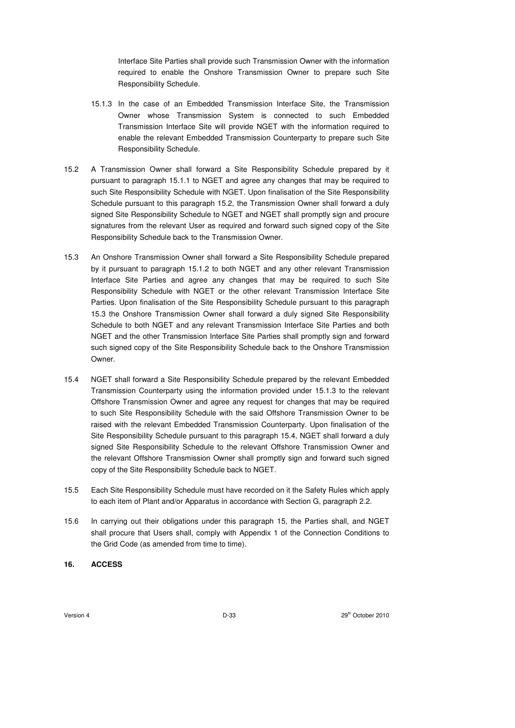Interface Site Parties shall provide such Transmission Owner with the information required to enable the Onshore Transmission Owner to prepare such Site Responsibility Schedule.

- 15.1.3 In the case of an Embedded Transmission Interface Site, the Transmission Owner whose Transmission System is connected to such Embedded Transmission Interface Site will provide NGET with the information required to enable the relevant Embedded Transmission Counterparty to prepare such Site Responsibility Schedule.
- 15.2 A Transmission Owner shall forward a Site Responsibility Schedule prepared by it pursuant to paragraph 15.1.1 to NGET and agree any changes that may be required to such Site Responsibility Schedule with NGET. Upon finalisation of the Site Responsibility Schedule pursuant to this paragraph 15.2, the Transmission Owner shall forward a duly signed Site Responsibility Schedule to NGET and NGET shall promptly sign and procure signatures from the relevant User as required and forward such signed copy of the Site Responsibility Schedule back to the Transmission Owner.
- 15.3 An Onshore Transmission Owner shall forward a Site Responsibility Schedule prepared by it pursuant to paragraph 15.1.2 to both NGET and any other relevant Transmission Interface Site Parties and agree any changes that may be required to such Site Responsibility Schedule with NGET or the other relevant Transmission Interface Site Parties. Upon finalisation of the Site Responsibility Schedule pursuant to this paragraph 15.3 the Onshore Transmission Owner shall forward a duly signed Site Responsibility Schedule to both NGET and any relevant Transmission Interface Site Parties and both NGET and the other Transmission Interface Site Parties shall promptly sign and forward such signed copy of the Site Responsibility Schedule back to the Onshore Transmission Owner.
- 15.4 NGET shall forward a Site Responsibility Schedule prepared by the relevant Embedded Transmission Counterparty using the information provided under 15.1.3 to the relevant Offshore Transmission Owner and agree any request for changes that may be required to such Site Responsibility Schedule with the said Offshore Transmission Owner to be raised with the relevant Embedded Transmission Counterparty. Upon finalisation of the Site Responsibility Schedule pursuant to this paragraph 15.4, NGET shall forward a duly signed Site Responsibility Schedule to the relevant Offshore Transmission Owner and the relevant Offshore Transmission Owner shall promptly sign and forward such signed copy of the Site Responsibility Schedule back to NGET.
- 15.5 Each Site Responsibility Schedule must have recorded on it the Safety Rules which apply to each item of Plant and/or Apparatus in accordance with Section G, paragraph 2.2.
- 15.6 In carrying out their obligations under this paragraph 15, the Parties shall, and NGET shall procure that Users shall, comply with Appendix 1 of the Connection Conditions to the Grid Code (as amended from time to time).
- **16. ACCESS**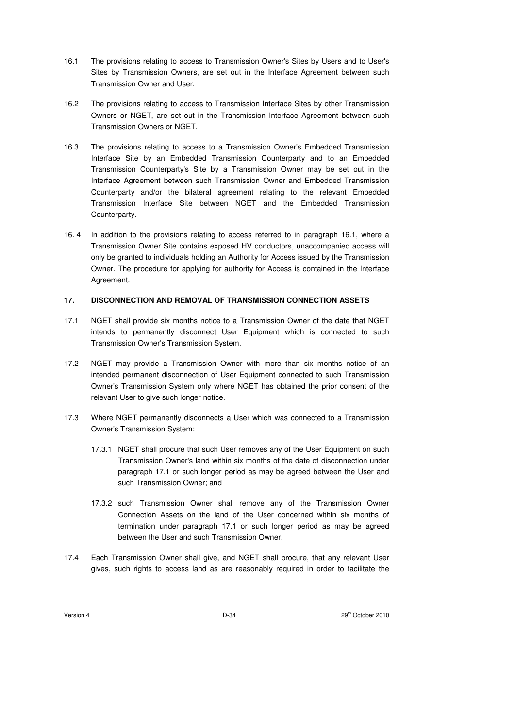- 16.1 The provisions relating to access to Transmission Owner's Sites by Users and to User's Sites by Transmission Owners, are set out in the Interface Agreement between such Transmission Owner and User.
- 16.2 The provisions relating to access to Transmission Interface Sites by other Transmission Owners or NGET, are set out in the Transmission Interface Agreement between such Transmission Owners or NGET.
- 16.3 The provisions relating to access to a Transmission Owner's Embedded Transmission Interface Site by an Embedded Transmission Counterparty and to an Embedded Transmission Counterparty's Site by a Transmission Owner may be set out in the Interface Agreement between such Transmission Owner and Embedded Transmission Counterparty and/or the bilateral agreement relating to the relevant Embedded Transmission Interface Site between NGET and the Embedded Transmission Counterparty.
- 16. 4 In addition to the provisions relating to access referred to in paragraph 16.1, where a Transmission Owner Site contains exposed HV conductors, unaccompanied access will only be granted to individuals holding an Authority for Access issued by the Transmission Owner. The procedure for applying for authority for Access is contained in the Interface Agreement.

## **17. DISCONNECTION AND REMOVAL OF TRANSMISSION CONNECTION ASSETS**

- 17.1 NGET shall provide six months notice to a Transmission Owner of the date that NGET intends to permanently disconnect User Equipment which is connected to such Transmission Owner's Transmission System.
- 17.2 NGET may provide a Transmission Owner with more than six months notice of an intended permanent disconnection of User Equipment connected to such Transmission Owner's Transmission System only where NGET has obtained the prior consent of the relevant User to give such longer notice.
- 17.3 Where NGET permanently disconnects a User which was connected to a Transmission Owner's Transmission System:
	- 17.3.1 NGET shall procure that such User removes any of the User Equipment on such Transmission Owner's land within six months of the date of disconnection under paragraph 17.1 or such longer period as may be agreed between the User and such Transmission Owner; and
	- 17.3.2 such Transmission Owner shall remove any of the Transmission Owner Connection Assets on the land of the User concerned within six months of termination under paragraph 17.1 or such longer period as may be agreed between the User and such Transmission Owner.
- 17.4 Each Transmission Owner shall give, and NGET shall procure, that any relevant User gives, such rights to access land as are reasonably required in order to facilitate the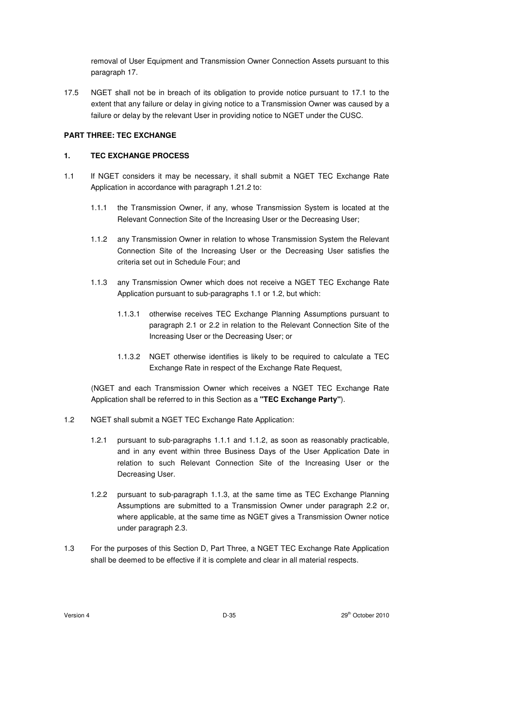removal of User Equipment and Transmission Owner Connection Assets pursuant to this paragraph 17.

17.5 NGET shall not be in breach of its obligation to provide notice pursuant to 17.1 to the extent that any failure or delay in giving notice to a Transmission Owner was caused by a failure or delay by the relevant User in providing notice to NGET under the CUSC.

### **PART THREE: TEC EXCHANGE**

### **1. TEC EXCHANGE PROCESS**

- 1.1 If NGET considers it may be necessary, it shall submit a NGET TEC Exchange Rate Application in accordance with paragraph 1.21.2 to:
	- 1.1.1 the Transmission Owner, if any, whose Transmission System is located at the Relevant Connection Site of the Increasing User or the Decreasing User;
	- 1.1.2 any Transmission Owner in relation to whose Transmission System the Relevant Connection Site of the Increasing User or the Decreasing User satisfies the criteria set out in Schedule Four; and
	- 1.1.3 any Transmission Owner which does not receive a NGET TEC Exchange Rate Application pursuant to sub-paragraphs 1.1 or 1.2, but which:
		- 1.1.3.1 otherwise receives TEC Exchange Planning Assumptions pursuant to paragraph 2.1 or 2.2 in relation to the Relevant Connection Site of the Increasing User or the Decreasing User; or
		- 1.1.3.2 NGET otherwise identifies is likely to be required to calculate a TEC Exchange Rate in respect of the Exchange Rate Request,

(NGET and each Transmission Owner which receives a NGET TEC Exchange Rate Application shall be referred to in this Section as a **"TEC Exchange Party"**).

- 1.2 NGET shall submit a NGET TEC Exchange Rate Application:
	- 1.2.1 pursuant to sub-paragraphs 1.1.1 and 1.1.2, as soon as reasonably practicable, and in any event within three Business Days of the User Application Date in relation to such Relevant Connection Site of the Increasing User or the Decreasing User.
	- 1.2.2 pursuant to sub-paragraph 1.1.3, at the same time as TEC Exchange Planning Assumptions are submitted to a Transmission Owner under paragraph 2.2 or, where applicable, at the same time as NGET gives a Transmission Owner notice under paragraph 2.3.
- 1.3 For the purposes of this Section D, Part Three, a NGET TEC Exchange Rate Application shall be deemed to be effective if it is complete and clear in all material respects.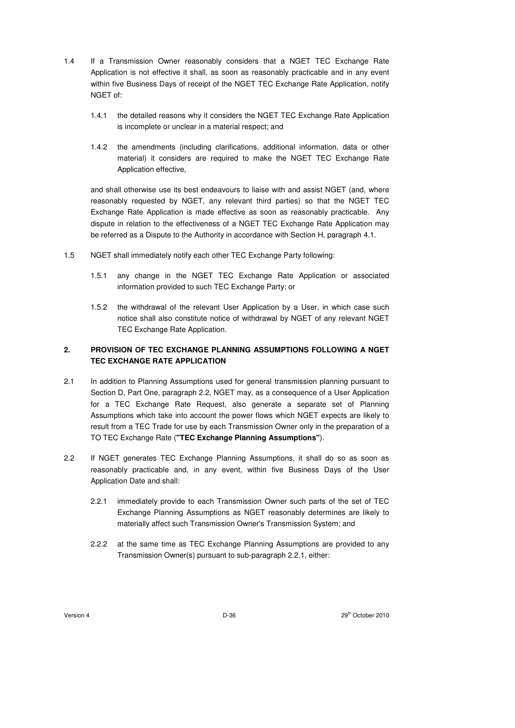- 1.4 If a Transmission Owner reasonably considers that a NGET TEC Exchange Rate Application is not effective it shall, as soon as reasonably practicable and in any event within five Business Days of receipt of the NGET TEC Exchange Rate Application, notify NGET of:
	- 1.4.1 the detailed reasons why it considers the NGET TEC Exchange Rate Application is incomplete or unclear in a material respect; and
	- 1.4.2 the amendments (including clarifications, additional information, data or other material) it considers are required to make the NGET TEC Exchange Rate Application effective,

and shall otherwise use its best endeavours to liaise with and assist NGET (and, where reasonably requested by NGET, any relevant third parties) so that the NGET TEC Exchange Rate Application is made effective as soon as reasonably practicable. Any dispute in relation to the effectiveness of a NGET TEC Exchange Rate Application may be referred as a Dispute to the Authority in accordance with Section H, paragraph 4.1.

- 1.5 NGET shall immediately notify each other TEC Exchange Party following:
	- 1.5.1 any change in the NGET TEC Exchange Rate Application or associated information provided to such TEC Exchange Party; or
	- 1.5.2 the withdrawal of the relevant User Application by a User, in which case such notice shall also constitute notice of withdrawal by NGET of any relevant NGET TEC Exchange Rate Application.

# **2. PROVISION OF TEC EXCHANGE PLANNING ASSUMPTIONS FOLLOWING A NGET TEC EXCHANGE RATE APPLICATION**

- 2.1 In addition to Planning Assumptions used for general transmission planning pursuant to Section D, Part One, paragraph 2.2, NGET may, as a consequence of a User Application for a TEC Exchange Rate Request, also generate a separate set of Planning Assumptions which take into account the power flows which NGET expects are likely to result from a TEC Trade for use by each Transmission Owner only in the preparation of a TO TEC Exchange Rate (**"TEC Exchange Planning Assumptions"**).
- 2.2 If NGET generates TEC Exchange Planning Assumptions, it shall do so as soon as reasonably practicable and, in any event, within five Business Days of the User Application Date and shall:
	- 2.2.1 immediately provide to each Transmission Owner such parts of the set of TEC Exchange Planning Assumptions as NGET reasonably determines are likely to materially affect such Transmission Owner's Transmission System; and
	- 2.2.2 at the same time as TEC Exchange Planning Assumptions are provided to any Transmission Owner(s) pursuant to sub-paragraph 2.2.1, either: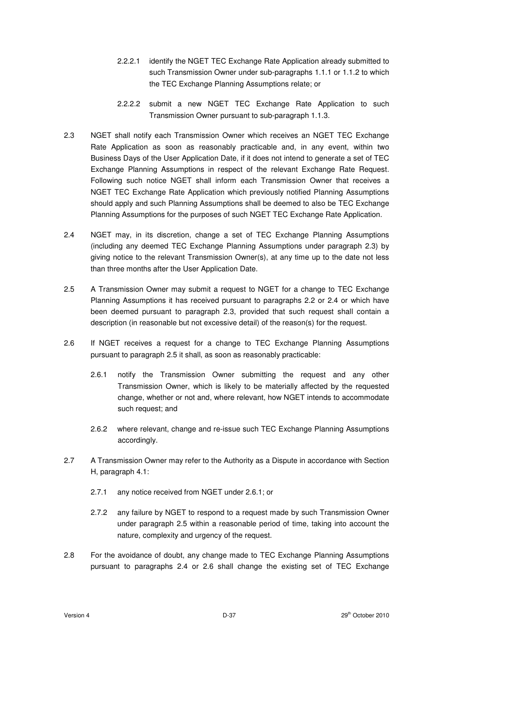- 2.2.2.1 identify the NGET TEC Exchange Rate Application already submitted to such Transmission Owner under sub-paragraphs 1.1.1 or 1.1.2 to which the TEC Exchange Planning Assumptions relate; or
- 2.2.2.2 submit a new NGET TEC Exchange Rate Application to such Transmission Owner pursuant to sub-paragraph 1.1.3.
- 2.3 NGET shall notify each Transmission Owner which receives an NGET TEC Exchange Rate Application as soon as reasonably practicable and, in any event, within two Business Days of the User Application Date, if it does not intend to generate a set of TEC Exchange Planning Assumptions in respect of the relevant Exchange Rate Request. Following such notice NGET shall inform each Transmission Owner that receives a NGET TEC Exchange Rate Application which previously notified Planning Assumptions should apply and such Planning Assumptions shall be deemed to also be TEC Exchange Planning Assumptions for the purposes of such NGET TEC Exchange Rate Application.
- 2.4 NGET may, in its discretion, change a set of TEC Exchange Planning Assumptions (including any deemed TEC Exchange Planning Assumptions under paragraph 2.3) by giving notice to the relevant Transmission Owner(s), at any time up to the date not less than three months after the User Application Date.
- 2.5 A Transmission Owner may submit a request to NGET for a change to TEC Exchange Planning Assumptions it has received pursuant to paragraphs 2.2 or 2.4 or which have been deemed pursuant to paragraph 2.3, provided that such request shall contain a description (in reasonable but not excessive detail) of the reason(s) for the request.
- 2.6 If NGET receives a request for a change to TEC Exchange Planning Assumptions pursuant to paragraph 2.5 it shall, as soon as reasonably practicable:
	- 2.6.1 notify the Transmission Owner submitting the request and any other Transmission Owner, which is likely to be materially affected by the requested change, whether or not and, where relevant, how NGET intends to accommodate such request; and
	- 2.6.2 where relevant, change and re-issue such TEC Exchange Planning Assumptions accordingly.
- 2.7 A Transmission Owner may refer to the Authority as a Dispute in accordance with Section H, paragraph 4.1:
	- 2.7.1 any notice received from NGET under 2.6.1; or
	- 2.7.2 any failure by NGET to respond to a request made by such Transmission Owner under paragraph 2.5 within a reasonable period of time, taking into account the nature, complexity and urgency of the request.
- 2.8 For the avoidance of doubt, any change made to TEC Exchange Planning Assumptions pursuant to paragraphs 2.4 or 2.6 shall change the existing set of TEC Exchange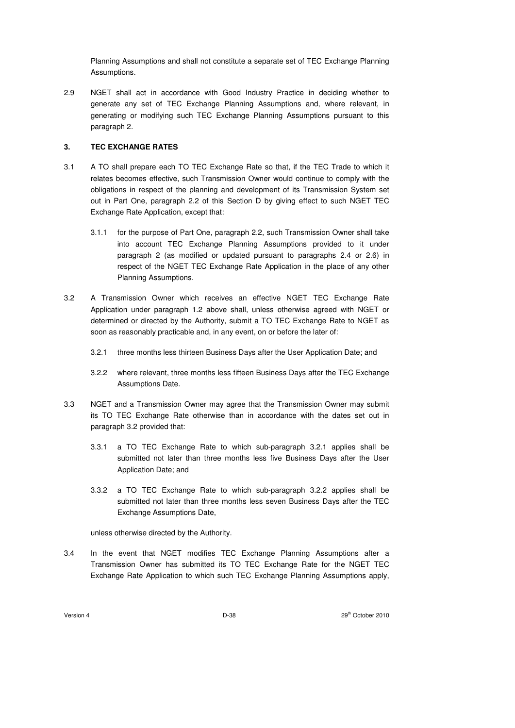Planning Assumptions and shall not constitute a separate set of TEC Exchange Planning Assumptions.

2.9 NGET shall act in accordance with Good Industry Practice in deciding whether to generate any set of TEC Exchange Planning Assumptions and, where relevant, in generating or modifying such TEC Exchange Planning Assumptions pursuant to this paragraph 2.

## **3. TEC EXCHANGE RATES**

- 3.1 A TO shall prepare each TO TEC Exchange Rate so that, if the TEC Trade to which it relates becomes effective, such Transmission Owner would continue to comply with the obligations in respect of the planning and development of its Transmission System set out in Part One, paragraph 2.2 of this Section D by giving effect to such NGET TEC Exchange Rate Application, except that:
	- 3.1.1 for the purpose of Part One, paragraph 2.2, such Transmission Owner shall take into account TEC Exchange Planning Assumptions provided to it under paragraph 2 (as modified or updated pursuant to paragraphs 2.4 or 2.6) in respect of the NGET TEC Exchange Rate Application in the place of any other Planning Assumptions.
- 3.2 A Transmission Owner which receives an effective NGET TEC Exchange Rate Application under paragraph 1.2 above shall, unless otherwise agreed with NGET or determined or directed by the Authority, submit a TO TEC Exchange Rate to NGET as soon as reasonably practicable and, in any event, on or before the later of:
	- 3.2.1 three months less thirteen Business Days after the User Application Date; and
	- 3.2.2 where relevant, three months less fifteen Business Days after the TEC Exchange Assumptions Date.
- 3.3 NGET and a Transmission Owner may agree that the Transmission Owner may submit its TO TEC Exchange Rate otherwise than in accordance with the dates set out in paragraph 3.2 provided that:
	- 3.3.1 a TO TEC Exchange Rate to which sub-paragraph 3.2.1 applies shall be submitted not later than three months less five Business Days after the User Application Date; and
	- 3.3.2 a TO TEC Exchange Rate to which sub-paragraph 3.2.2 applies shall be submitted not later than three months less seven Business Days after the TEC Exchange Assumptions Date,

unless otherwise directed by the Authority.

3.4 In the event that NGET modifies TEC Exchange Planning Assumptions after a Transmission Owner has submitted its TO TEC Exchange Rate for the NGET TEC Exchange Rate Application to which such TEC Exchange Planning Assumptions apply,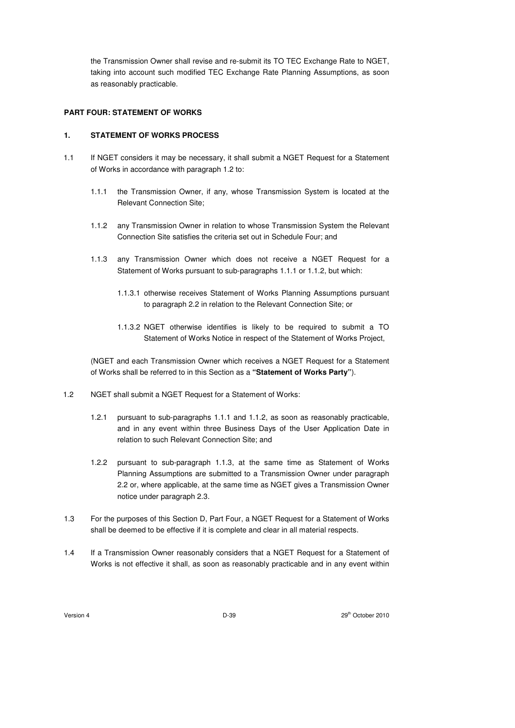the Transmission Owner shall revise and re-submit its TO TEC Exchange Rate to NGET, taking into account such modified TEC Exchange Rate Planning Assumptions, as soon as reasonably practicable.

### **PART FOUR: STATEMENT OF WORKS**

## **1. STATEMENT OF WORKS PROCESS**

- 1.1 If NGET considers it may be necessary, it shall submit a NGET Request for a Statement of Works in accordance with paragraph 1.2 to:
	- 1.1.1 the Transmission Owner, if any, whose Transmission System is located at the Relevant Connection Site;
	- 1.1.2 any Transmission Owner in relation to whose Transmission System the Relevant Connection Site satisfies the criteria set out in Schedule Four; and
	- 1.1.3 any Transmission Owner which does not receive a NGET Request for a Statement of Works pursuant to sub-paragraphs 1.1.1 or 1.1.2, but which:
		- 1.1.3.1 otherwise receives Statement of Works Planning Assumptions pursuant to paragraph 2.2 in relation to the Relevant Connection Site; or
		- 1.1.3.2 NGET otherwise identifies is likely to be required to submit a TO Statement of Works Notice in respect of the Statement of Works Project,

(NGET and each Transmission Owner which receives a NGET Request for a Statement of Works shall be referred to in this Section as a **"Statement of Works Party"**).

- 1.2 NGET shall submit a NGET Request for a Statement of Works:
	- 1.2.1 pursuant to sub-paragraphs 1.1.1 and 1.1.2, as soon as reasonably practicable, and in any event within three Business Days of the User Application Date in relation to such Relevant Connection Site; and
	- 1.2.2 pursuant to sub-paragraph 1.1.3, at the same time as Statement of Works Planning Assumptions are submitted to a Transmission Owner under paragraph 2.2 or, where applicable, at the same time as NGET gives a Transmission Owner notice under paragraph 2.3.
- 1.3 For the purposes of this Section D, Part Four, a NGET Request for a Statement of Works shall be deemed to be effective if it is complete and clear in all material respects.
- 1.4 If a Transmission Owner reasonably considers that a NGET Request for a Statement of Works is not effective it shall, as soon as reasonably practicable and in any event within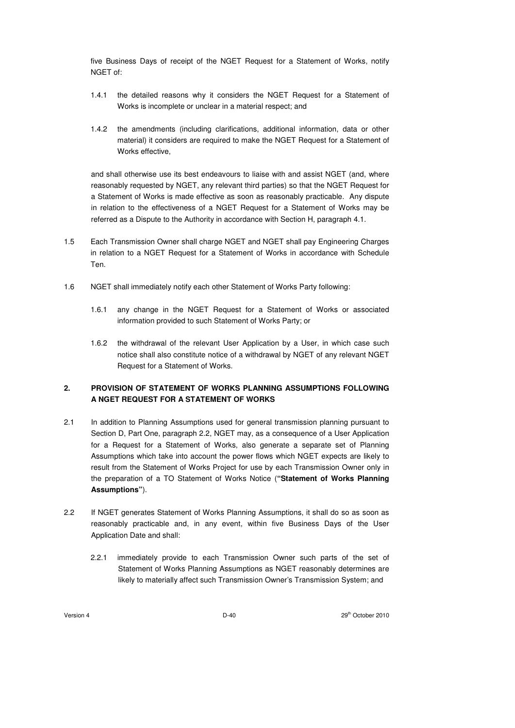five Business Days of receipt of the NGET Request for a Statement of Works, notify NGET of:

- 1.4.1 the detailed reasons why it considers the NGET Request for a Statement of Works is incomplete or unclear in a material respect; and
- 1.4.2 the amendments (including clarifications, additional information, data or other material) it considers are required to make the NGET Request for a Statement of Works effective,

and shall otherwise use its best endeavours to liaise with and assist NGET (and, where reasonably requested by NGET, any relevant third parties) so that the NGET Request for a Statement of Works is made effective as soon as reasonably practicable. Any dispute in relation to the effectiveness of a NGET Request for a Statement of Works may be referred as a Dispute to the Authority in accordance with Section H, paragraph 4.1.

- 1.5 Each Transmission Owner shall charge NGET and NGET shall pay Engineering Charges in relation to a NGET Request for a Statement of Works in accordance with Schedule Ten.
- 1.6 NGET shall immediately notify each other Statement of Works Party following:
	- 1.6.1 any change in the NGET Request for a Statement of Works or associated information provided to such Statement of Works Party; or
	- 1.6.2 the withdrawal of the relevant User Application by a User, in which case such notice shall also constitute notice of a withdrawal by NGET of any relevant NGET Request for a Statement of Works.

# **2. PROVISION OF STATEMENT OF WORKS PLANNING ASSUMPTIONS FOLLOWING A NGET REQUEST FOR A STATEMENT OF WORKS**

- 2.1 In addition to Planning Assumptions used for general transmission planning pursuant to Section D, Part One, paragraph 2.2, NGET may, as a consequence of a User Application for a Request for a Statement of Works, also generate a separate set of Planning Assumptions which take into account the power flows which NGET expects are likely to result from the Statement of Works Project for use by each Transmission Owner only in the preparation of a TO Statement of Works Notice (**"Statement of Works Planning Assumptions"**).
- 2.2 If NGET generates Statement of Works Planning Assumptions, it shall do so as soon as reasonably practicable and, in any event, within five Business Days of the User Application Date and shall:
	- 2.2.1 immediately provide to each Transmission Owner such parts of the set of Statement of Works Planning Assumptions as NGET reasonably determines are likely to materially affect such Transmission Owner's Transmission System; and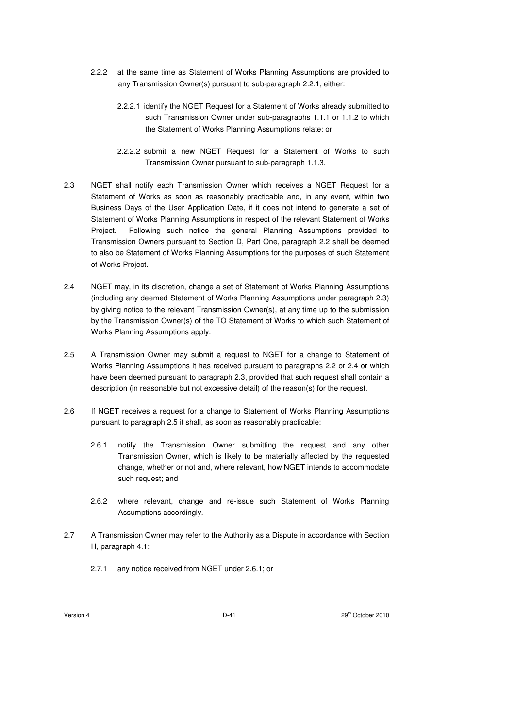- 2.2.2 at the same time as Statement of Works Planning Assumptions are provided to any Transmission Owner(s) pursuant to sub-paragraph 2.2.1, either:
	- 2.2.2.1 identify the NGET Request for a Statement of Works already submitted to such Transmission Owner under sub-paragraphs 1.1.1 or 1.1.2 to which the Statement of Works Planning Assumptions relate; or
	- 2.2.2.2 submit a new NGET Request for a Statement of Works to such Transmission Owner pursuant to sub-paragraph 1.1.3.
- 2.3 NGET shall notify each Transmission Owner which receives a NGET Request for a Statement of Works as soon as reasonably practicable and, in any event, within two Business Days of the User Application Date, if it does not intend to generate a set of Statement of Works Planning Assumptions in respect of the relevant Statement of Works Project. Following such notice the general Planning Assumptions provided to Transmission Owners pursuant to Section D, Part One, paragraph 2.2 shall be deemed to also be Statement of Works Planning Assumptions for the purposes of such Statement of Works Project.
- 2.4 NGET may, in its discretion, change a set of Statement of Works Planning Assumptions (including any deemed Statement of Works Planning Assumptions under paragraph 2.3) by giving notice to the relevant Transmission Owner(s), at any time up to the submission by the Transmission Owner(s) of the TO Statement of Works to which such Statement of Works Planning Assumptions apply.
- 2.5 A Transmission Owner may submit a request to NGET for a change to Statement of Works Planning Assumptions it has received pursuant to paragraphs 2.2 or 2.4 or which have been deemed pursuant to paragraph 2.3, provided that such request shall contain a description (in reasonable but not excessive detail) of the reason(s) for the request.
- 2.6 If NGET receives a request for a change to Statement of Works Planning Assumptions pursuant to paragraph 2.5 it shall, as soon as reasonably practicable:
	- 2.6.1 notify the Transmission Owner submitting the request and any other Transmission Owner, which is likely to be materially affected by the requested change, whether or not and, where relevant, how NGET intends to accommodate such request; and
	- 2.6.2 where relevant, change and re-issue such Statement of Works Planning Assumptions accordingly.
- 2.7 A Transmission Owner may refer to the Authority as a Dispute in accordance with Section H, paragraph 4.1:
	- 2.7.1 any notice received from NGET under 2.6.1; or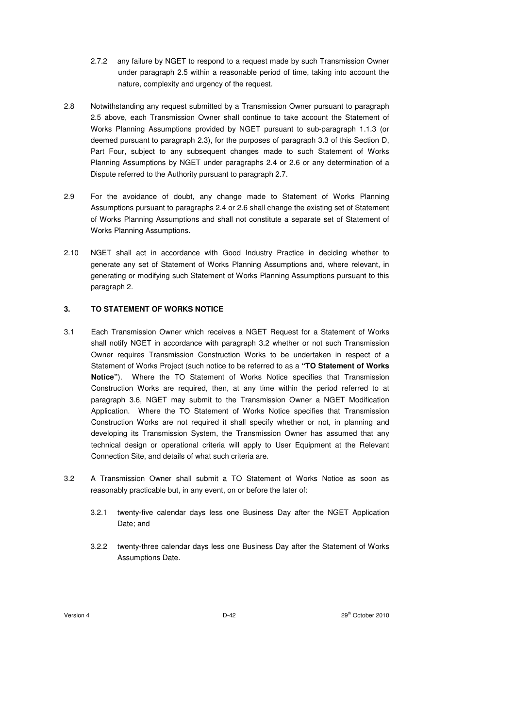- 2.7.2 any failure by NGET to respond to a request made by such Transmission Owner under paragraph 2.5 within a reasonable period of time, taking into account the nature, complexity and urgency of the request.
- 2.8 Notwithstanding any request submitted by a Transmission Owner pursuant to paragraph 2.5 above, each Transmission Owner shall continue to take account the Statement of Works Planning Assumptions provided by NGET pursuant to sub-paragraph 1.1.3 (or deemed pursuant to paragraph 2.3), for the purposes of paragraph 3.3 of this Section D, Part Four, subject to any subsequent changes made to such Statement of Works Planning Assumptions by NGET under paragraphs 2.4 or 2.6 or any determination of a Dispute referred to the Authority pursuant to paragraph 2.7.
- 2.9 For the avoidance of doubt, any change made to Statement of Works Planning Assumptions pursuant to paragraphs 2.4 or 2.6 shall change the existing set of Statement of Works Planning Assumptions and shall not constitute a separate set of Statement of Works Planning Assumptions.
- 2.10 NGET shall act in accordance with Good Industry Practice in deciding whether to generate any set of Statement of Works Planning Assumptions and, where relevant, in generating or modifying such Statement of Works Planning Assumptions pursuant to this paragraph 2.

## **3. TO STATEMENT OF WORKS NOTICE**

- 3.1 Each Transmission Owner which receives a NGET Request for a Statement of Works shall notify NGET in accordance with paragraph 3.2 whether or not such Transmission Owner requires Transmission Construction Works to be undertaken in respect of a Statement of Works Project (such notice to be referred to as a **"TO Statement of Works Notice"**). Where the TO Statement of Works Notice specifies that Transmission Construction Works are required, then, at any time within the period referred to at paragraph 3.6, NGET may submit to the Transmission Owner a NGET Modification Application. Where the TO Statement of Works Notice specifies that Transmission Construction Works are not required it shall specify whether or not, in planning and developing its Transmission System, the Transmission Owner has assumed that any technical design or operational criteria will apply to User Equipment at the Relevant Connection Site, and details of what such criteria are.
- 3.2 A Transmission Owner shall submit a TO Statement of Works Notice as soon as reasonably practicable but, in any event, on or before the later of:
	- 3.2.1 twenty-five calendar days less one Business Day after the NGET Application Date; and
	- 3.2.2 twenty-three calendar days less one Business Day after the Statement of Works Assumptions Date.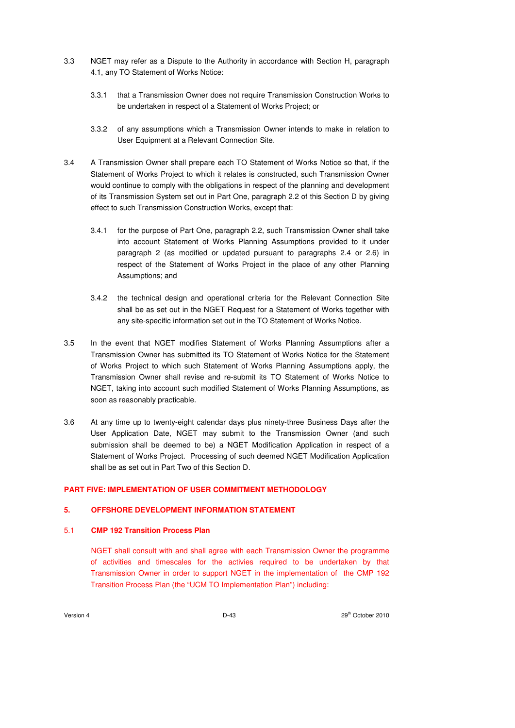- 3.3 NGET may refer as a Dispute to the Authority in accordance with Section H, paragraph 4.1, any TO Statement of Works Notice:
	- 3.3.1 that a Transmission Owner does not require Transmission Construction Works to be undertaken in respect of a Statement of Works Project; or
	- 3.3.2 of any assumptions which a Transmission Owner intends to make in relation to User Equipment at a Relevant Connection Site.
- 3.4 A Transmission Owner shall prepare each TO Statement of Works Notice so that, if the Statement of Works Project to which it relates is constructed, such Transmission Owner would continue to comply with the obligations in respect of the planning and development of its Transmission System set out in Part One, paragraph 2.2 of this Section D by giving effect to such Transmission Construction Works, except that:
	- 3.4.1 for the purpose of Part One, paragraph 2.2, such Transmission Owner shall take into account Statement of Works Planning Assumptions provided to it under paragraph 2 (as modified or updated pursuant to paragraphs 2.4 or 2.6) in respect of the Statement of Works Project in the place of any other Planning Assumptions; and
	- 3.4.2 the technical design and operational criteria for the Relevant Connection Site shall be as set out in the NGET Request for a Statement of Works together with any site-specific information set out in the TO Statement of Works Notice.
- 3.5 In the event that NGET modifies Statement of Works Planning Assumptions after a Transmission Owner has submitted its TO Statement of Works Notice for the Statement of Works Project to which such Statement of Works Planning Assumptions apply, the Transmission Owner shall revise and re-submit its TO Statement of Works Notice to NGET, taking into account such modified Statement of Works Planning Assumptions, as soon as reasonably practicable.
- 3.6 At any time up to twenty-eight calendar days plus ninety-three Business Days after the User Application Date, NGET may submit to the Transmission Owner (and such submission shall be deemed to be) a NGET Modification Application in respect of a Statement of Works Project. Processing of such deemed NGET Modification Application shall be as set out in Part Two of this Section D.

# **PART FIVE: IMPLEMENTATION OF USER COMMITMENT METHODOLOGY**

# **5. OFFSHORE DEVELOPMENT INFORMATION STATEMENT**

# 5.1 **CMP 192 Transition Process Plan**

NGET shall consult with and shall agree with each Transmission Owner the programme of activities and timescales for the activies required to be undertaken by that Transmission Owner in order to support NGET in the implementation of the CMP 192 Transition Process Plan (the "UCM TO Implementation Plan") including: